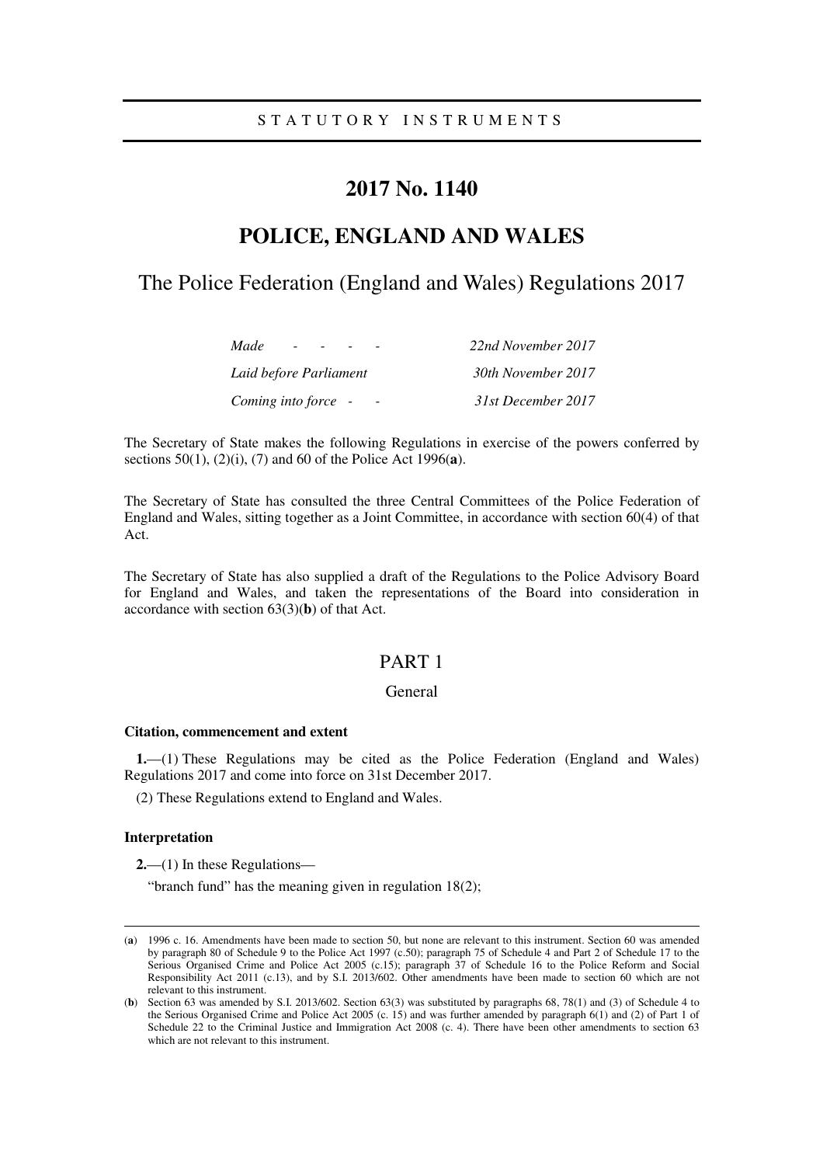# **2017 No. 1140**

# **POLICE, ENGLAND AND WALES**

# The Police Federation (England and Wales) Regulations 2017

| Made<br>$\sim$         | 22nd November 2017 |
|------------------------|--------------------|
| Laid before Parliament | 30th November 2017 |
| Coming into force -    | 31st December 2017 |

The Secretary of State makes the following Regulations in exercise of the powers conferred by sections 50(1), (2)(i), (7) and 60 of the Police Act 1996(**a**).

The Secretary of State has consulted the three Central Committees of the Police Federation of England and Wales, sitting together as a Joint Committee, in accordance with section 60(4) of that Act.

The Secretary of State has also supplied a draft of the Regulations to the Police Advisory Board for England and Wales, and taken the representations of the Board into consideration in accordance with section 63(3)(**b**) of that Act.

# PART 1

## General

#### **Citation, commencement and extent**

**1.**—(1) These Regulations may be cited as the Police Federation (England and Wales) Regulations 2017 and come into force on 31st December 2017.

(2) These Regulations extend to England and Wales.

#### **Interpretation**

-

**2.**—(1) In these Regulations—

"branch fund" has the meaning given in regulation 18(2);

<sup>(</sup>**a**) 1996 c. 16. Amendments have been made to section 50, but none are relevant to this instrument. Section 60 was amended by paragraph 80 of Schedule 9 to the Police Act 1997 (c.50); paragraph 75 of Schedule 4 and Part 2 of Schedule 17 to the Serious Organised Crime and Police Act 2005 (c.15); paragraph 37 of Schedule 16 to the Police Reform and Social Responsibility Act 2011 (c.13), and by S.I. 2013/602. Other amendments have been made to section 60 which are not relevant to this instrument.

<sup>(</sup>**b**) Section 63 was amended by S.I. 2013/602. Section 63(3) was substituted by paragraphs 68, 78(1) and (3) of Schedule 4 to the Serious Organised Crime and Police Act 2005 (c. 15) and was further amended by paragraph 6(1) and (2) of Part 1 of Schedule 22 to the Criminal Justice and Immigration Act 2008 (c. 4). There have been other amendments to section 63 which are not relevant to this instrument.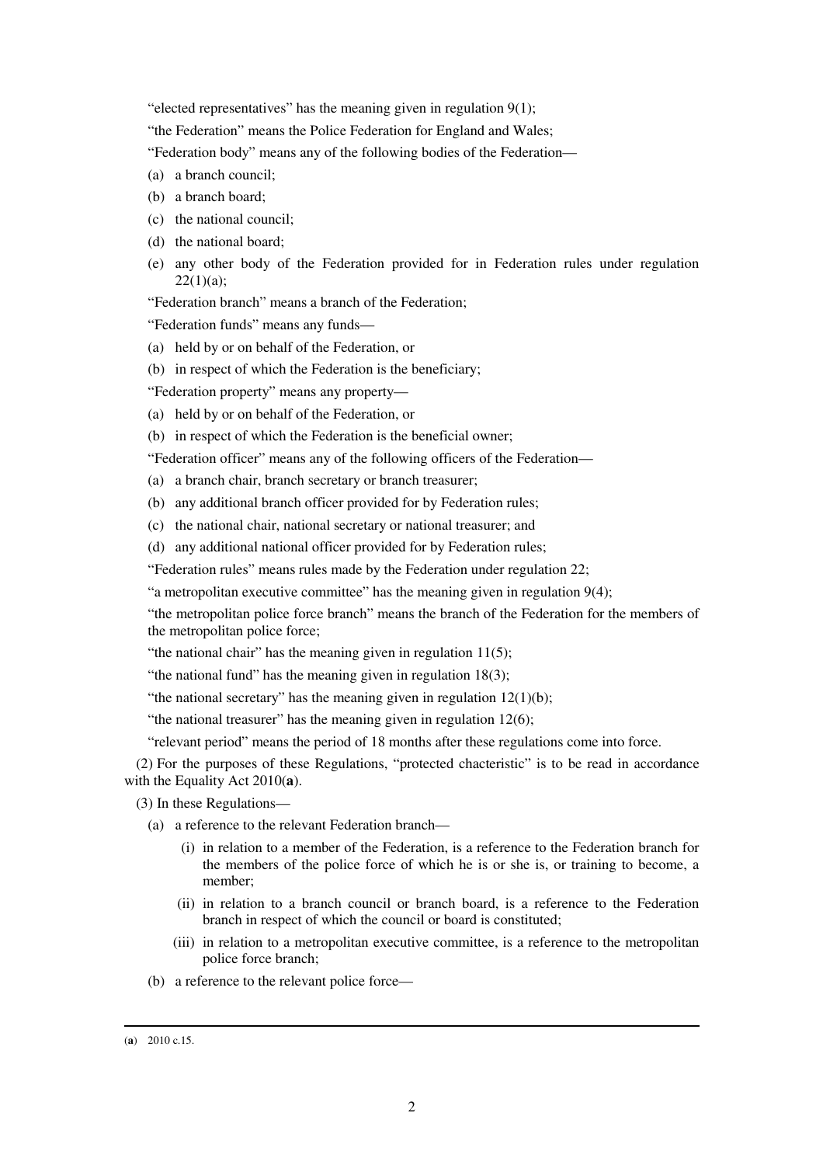"elected representatives" has the meaning given in regulation 9(1);

"the Federation" means the Police Federation for England and Wales;

"Federation body" means any of the following bodies of the Federation—

- (a) a branch council;
- (b) a branch board;
- (c) the national council;
- (d) the national board;
- (e) any other body of the Federation provided for in Federation rules under regulation  $22(1)(a);$

"Federation branch" means a branch of the Federation;

"Federation funds" means any funds—

- (a) held by or on behalf of the Federation, or
- (b) in respect of which the Federation is the beneficiary;

"Federation property" means any property—

(a) held by or on behalf of the Federation, or

(b) in respect of which the Federation is the beneficial owner;

- "Federation officer" means any of the following officers of the Federation—
- (a) a branch chair, branch secretary or branch treasurer;
- (b) any additional branch officer provided for by Federation rules;
- (c) the national chair, national secretary or national treasurer; and
- (d) any additional national officer provided for by Federation rules;

"Federation rules" means rules made by the Federation under regulation 22;

"a metropolitan executive committee" has the meaning given in regulation 9(4);

"the metropolitan police force branch" means the branch of the Federation for the members of the metropolitan police force;

"the national chair" has the meaning given in regulation 11(5);

"the national fund" has the meaning given in regulation 18(3);

"the national secretary" has the meaning given in regulation  $12(1)(b)$ ;

"the national treasurer" has the meaning given in regulation  $12(6)$ ;

"relevant period" means the period of 18 months after these regulations come into force.

(2) For the purposes of these Regulations, "protected chacteristic" is to be read in accordance with the Equality Act 2010(**a**).

(3) In these Regulations—

(a) a reference to the relevant Federation branch—

- (i) in relation to a member of the Federation, is a reference to the Federation branch for the members of the police force of which he is or she is, or training to become, a member;
- (ii) in relation to a branch council or branch board, is a reference to the Federation branch in respect of which the council or board is constituted;
- (iii) in relation to a metropolitan executive committee, is a reference to the metropolitan police force branch;
- (b) a reference to the relevant police force—

<sup>(</sup>**a**) 2010 c.15.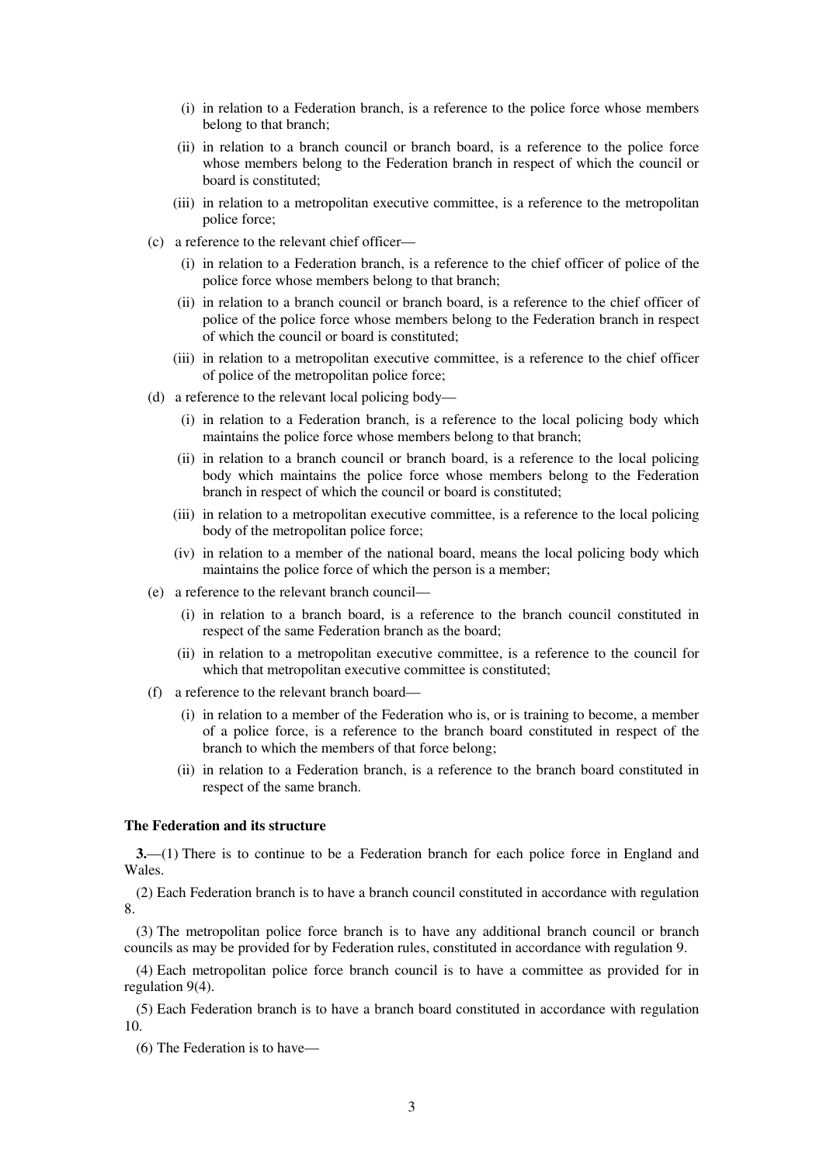- (i) in relation to a Federation branch, is a reference to the police force whose members belong to that branch;
- (ii) in relation to a branch council or branch board, is a reference to the police force whose members belong to the Federation branch in respect of which the council or board is constituted;
- (iii) in relation to a metropolitan executive committee, is a reference to the metropolitan police force;
- (c) a reference to the relevant chief officer—
	- (i) in relation to a Federation branch, is a reference to the chief officer of police of the police force whose members belong to that branch;
	- (ii) in relation to a branch council or branch board, is a reference to the chief officer of police of the police force whose members belong to the Federation branch in respect of which the council or board is constituted;
	- (iii) in relation to a metropolitan executive committee, is a reference to the chief officer of police of the metropolitan police force;
- (d) a reference to the relevant local policing body—
	- (i) in relation to a Federation branch, is a reference to the local policing body which maintains the police force whose members belong to that branch;
	- (ii) in relation to a branch council or branch board, is a reference to the local policing body which maintains the police force whose members belong to the Federation branch in respect of which the council or board is constituted;
	- (iii) in relation to a metropolitan executive committee, is a reference to the local policing body of the metropolitan police force;
	- (iv) in relation to a member of the national board, means the local policing body which maintains the police force of which the person is a member;
- (e) a reference to the relevant branch council—
	- (i) in relation to a branch board, is a reference to the branch council constituted in respect of the same Federation branch as the board;
	- (ii) in relation to a metropolitan executive committee, is a reference to the council for which that metropolitan executive committee is constituted;
- (f) a reference to the relevant branch board—
	- (i) in relation to a member of the Federation who is, or is training to become, a member of a police force, is a reference to the branch board constituted in respect of the branch to which the members of that force belong;
	- (ii) in relation to a Federation branch, is a reference to the branch board constituted in respect of the same branch.

### **The Federation and its structure**

**3.**—(1) There is to continue to be a Federation branch for each police force in England and Wales.

(2) Each Federation branch is to have a branch council constituted in accordance with regulation 8.

(3) The metropolitan police force branch is to have any additional branch council or branch councils as may be provided for by Federation rules, constituted in accordance with regulation 9.

(4) Each metropolitan police force branch council is to have a committee as provided for in regulation 9(4).

(5) Each Federation branch is to have a branch board constituted in accordance with regulation 10.

(6) The Federation is to have—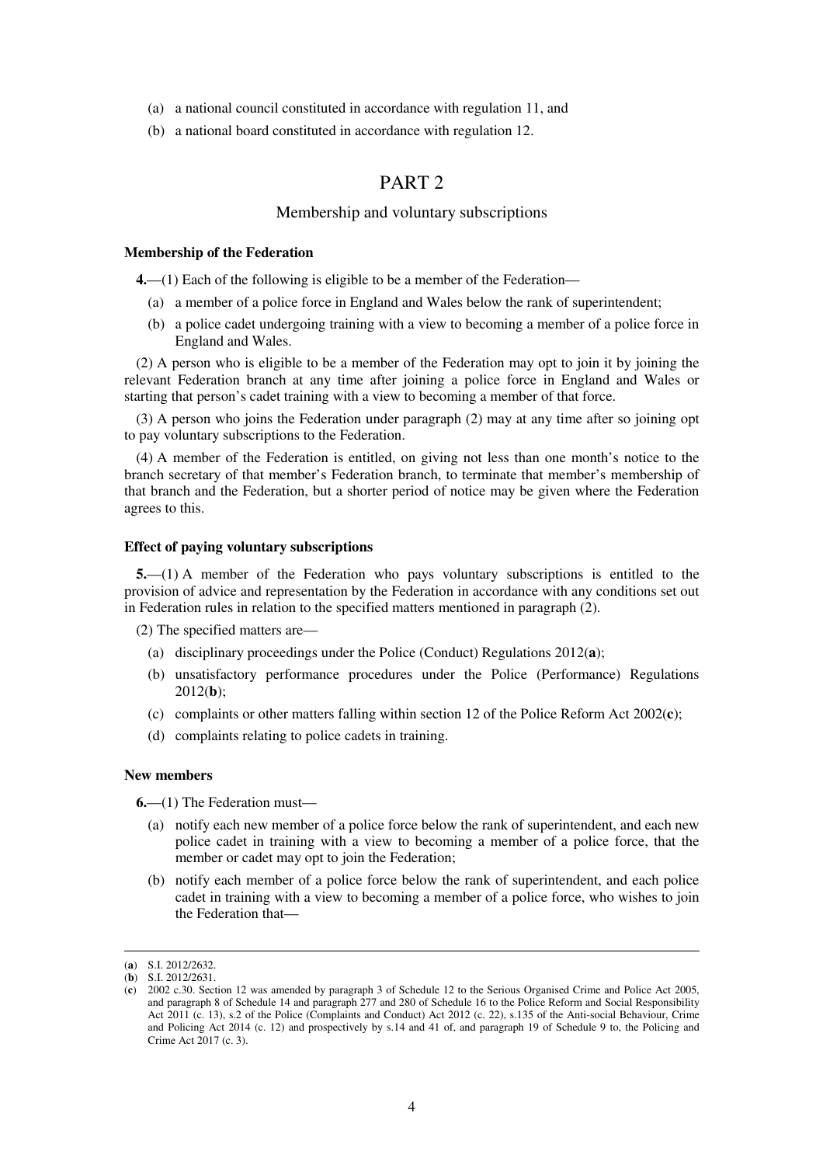- (a) a national council constituted in accordance with regulation 11, and
- (b) a national board constituted in accordance with regulation 12.

## PART<sub>2</sub>

## Membership and voluntary subscriptions

### **Membership of the Federation**

**4.**—(1) Each of the following is eligible to be a member of the Federation—

- (a) a member of a police force in England and Wales below the rank of superintendent;
- (b) a police cadet undergoing training with a view to becoming a member of a police force in England and Wales.

(2) A person who is eligible to be a member of the Federation may opt to join it by joining the relevant Federation branch at any time after joining a police force in England and Wales or starting that person's cadet training with a view to becoming a member of that force.

(3) A person who joins the Federation under paragraph (2) may at any time after so joining opt to pay voluntary subscriptions to the Federation.

(4) A member of the Federation is entitled, on giving not less than one month's notice to the branch secretary of that member's Federation branch, to terminate that member's membership of that branch and the Federation, but a shorter period of notice may be given where the Federation agrees to this.

#### **Effect of paying voluntary subscriptions**

**5.**—(1) A member of the Federation who pays voluntary subscriptions is entitled to the provision of advice and representation by the Federation in accordance with any conditions set out in Federation rules in relation to the specified matters mentioned in paragraph (2).

(2) The specified matters are—

- (a) disciplinary proceedings under the Police (Conduct) Regulations 2012(**a**);
- (b) unsatisfactory performance procedures under the Police (Performance) Regulations 2012(**b**);
- (c) complaints or other matters falling within section 12 of the Police Reform Act 2002(**c**);
- (d) complaints relating to police cadets in training.

#### **New members**

**6.**—(1) The Federation must—

- (a) notify each new member of a police force below the rank of superintendent, and each new police cadet in training with a view to becoming a member of a police force, that the member or cadet may opt to join the Federation;
- (b) notify each member of a police force below the rank of superintendent, and each police cadet in training with a view to becoming a member of a police force, who wishes to join the Federation that—

<sup>(</sup>**a**) S.I. 2012/2632.

<sup>(</sup>**b**) S.I. 2012/2631.

<sup>(</sup>**c**) 2002 c.30. Section 12 was amended by paragraph 3 of Schedule 12 to the Serious Organised Crime and Police Act 2005, and paragraph 8 of Schedule 14 and paragraph 277 and 280 of Schedule 16 to the Police Reform and Social Responsibility Act 2011 (c. 13), s.2 of the Police (Complaints and Conduct) Act 2012 (c. 22), s.135 of the Anti-social Behaviour, Crime and Policing Act 2014 (c. 12) and prospectively by s.14 and 41 of, and paragraph 19 of Schedule 9 to, the Policing and Crime Act 2017 (c. 3).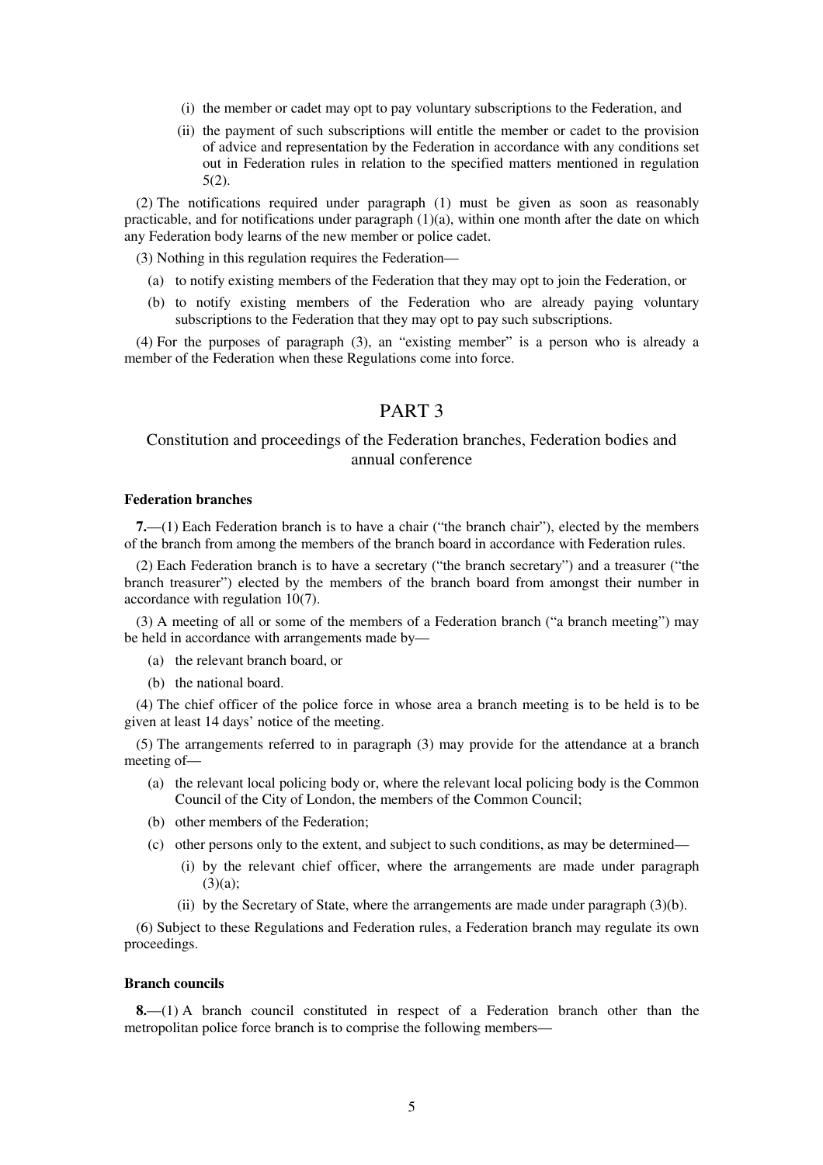- (i) the member or cadet may opt to pay voluntary subscriptions to the Federation, and
- (ii) the payment of such subscriptions will entitle the member or cadet to the provision of advice and representation by the Federation in accordance with any conditions set out in Federation rules in relation to the specified matters mentioned in regulation 5(2).

(2) The notifications required under paragraph (1) must be given as soon as reasonably practicable, and for notifications under paragraph  $(1)(a)$ , within one month after the date on which any Federation body learns of the new member or police cadet.

(3) Nothing in this regulation requires the Federation—

- (a) to notify existing members of the Federation that they may opt to join the Federation, or
- (b) to notify existing members of the Federation who are already paying voluntary subscriptions to the Federation that they may opt to pay such subscriptions.

(4) For the purposes of paragraph (3), an "existing member" is a person who is already a member of the Federation when these Regulations come into force.

# PART 3

## Constitution and proceedings of the Federation branches, Federation bodies and annual conference

## **Federation branches**

**7.**—(1) Each Federation branch is to have a chair ("the branch chair"), elected by the members of the branch from among the members of the branch board in accordance with Federation rules.

(2) Each Federation branch is to have a secretary ("the branch secretary") and a treasurer ("the branch treasurer") elected by the members of the branch board from amongst their number in accordance with regulation 10(7).

(3) A meeting of all or some of the members of a Federation branch ("a branch meeting") may be held in accordance with arrangements made by—

- (a) the relevant branch board, or
- (b) the national board.

(4) The chief officer of the police force in whose area a branch meeting is to be held is to be given at least 14 days' notice of the meeting.

(5) The arrangements referred to in paragraph (3) may provide for the attendance at a branch meeting of—

- (a) the relevant local policing body or, where the relevant local policing body is the Common Council of the City of London, the members of the Common Council;
- (b) other members of the Federation;
- (c) other persons only to the extent, and subject to such conditions, as may be determined—
	- (i) by the relevant chief officer, where the arrangements are made under paragraph  $(3)(a)$ ;
	- (ii) by the Secretary of State, where the arrangements are made under paragraph (3)(b).

(6) Subject to these Regulations and Federation rules, a Federation branch may regulate its own proceedings.

### **Branch councils**

**8.**—(1) A branch council constituted in respect of a Federation branch other than the metropolitan police force branch is to comprise the following members—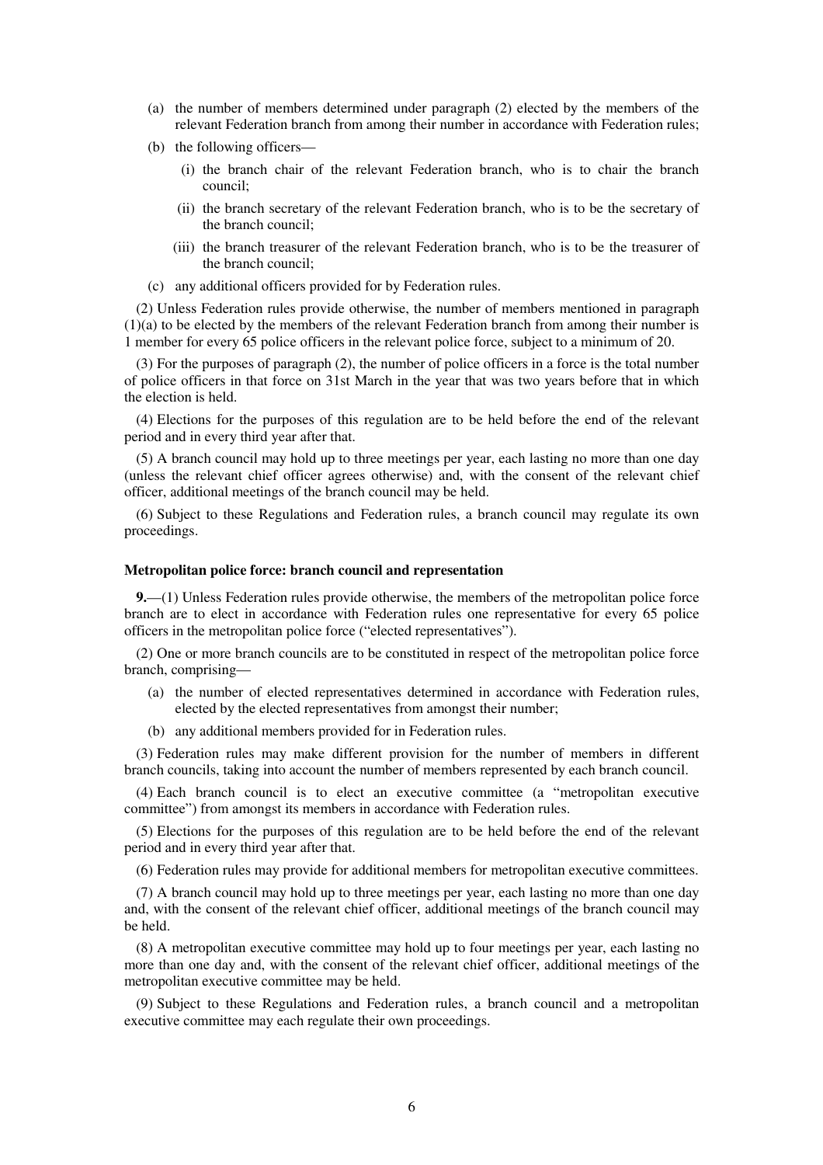- (a) the number of members determined under paragraph (2) elected by the members of the relevant Federation branch from among their number in accordance with Federation rules;
- (b) the following officers—
	- (i) the branch chair of the relevant Federation branch, who is to chair the branch council;
	- (ii) the branch secretary of the relevant Federation branch, who is to be the secretary of the branch council;
	- (iii) the branch treasurer of the relevant Federation branch, who is to be the treasurer of the branch council;
- (c) any additional officers provided for by Federation rules.

(2) Unless Federation rules provide otherwise, the number of members mentioned in paragraph (1)(a) to be elected by the members of the relevant Federation branch from among their number is 1 member for every 65 police officers in the relevant police force, subject to a minimum of 20.

(3) For the purposes of paragraph (2), the number of police officers in a force is the total number of police officers in that force on 31st March in the year that was two years before that in which the election is held.

(4) Elections for the purposes of this regulation are to be held before the end of the relevant period and in every third year after that.

(5) A branch council may hold up to three meetings per year, each lasting no more than one day (unless the relevant chief officer agrees otherwise) and, with the consent of the relevant chief officer, additional meetings of the branch council may be held.

(6) Subject to these Regulations and Federation rules, a branch council may regulate its own proceedings.

#### **Metropolitan police force: branch council and representation**

**9.**—(1) Unless Federation rules provide otherwise, the members of the metropolitan police force branch are to elect in accordance with Federation rules one representative for every 65 police officers in the metropolitan police force ("elected representatives").

(2) One or more branch councils are to be constituted in respect of the metropolitan police force branch, comprising—

- (a) the number of elected representatives determined in accordance with Federation rules, elected by the elected representatives from amongst their number;
- (b) any additional members provided for in Federation rules.

(3) Federation rules may make different provision for the number of members in different branch councils, taking into account the number of members represented by each branch council.

(4) Each branch council is to elect an executive committee (a "metropolitan executive committee") from amongst its members in accordance with Federation rules.

(5) Elections for the purposes of this regulation are to be held before the end of the relevant period and in every third year after that.

(6) Federation rules may provide for additional members for metropolitan executive committees.

(7) A branch council may hold up to three meetings per year, each lasting no more than one day and, with the consent of the relevant chief officer, additional meetings of the branch council may be held.

(8) A metropolitan executive committee may hold up to four meetings per year, each lasting no more than one day and, with the consent of the relevant chief officer, additional meetings of the metropolitan executive committee may be held.

(9) Subject to these Regulations and Federation rules, a branch council and a metropolitan executive committee may each regulate their own proceedings.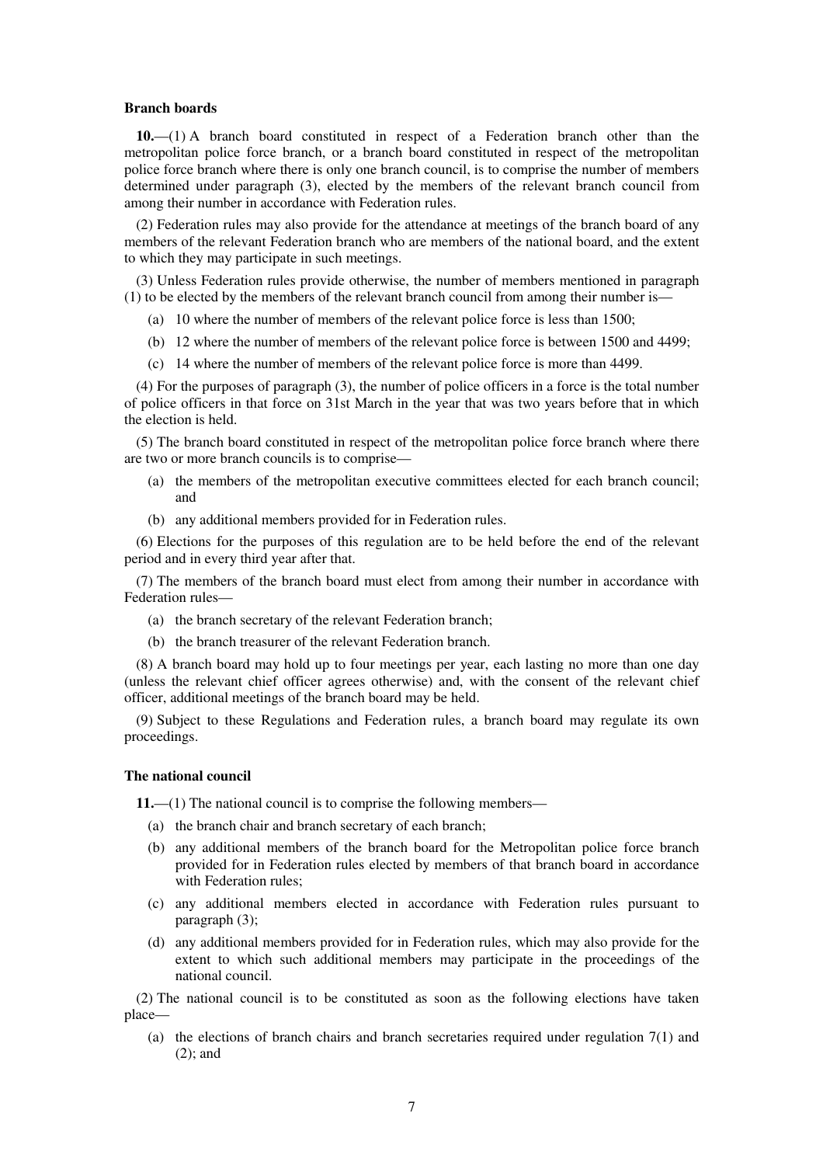#### **Branch boards**

**10.**—(1) A branch board constituted in respect of a Federation branch other than the metropolitan police force branch, or a branch board constituted in respect of the metropolitan police force branch where there is only one branch council, is to comprise the number of members determined under paragraph (3), elected by the members of the relevant branch council from among their number in accordance with Federation rules.

(2) Federation rules may also provide for the attendance at meetings of the branch board of any members of the relevant Federation branch who are members of the national board, and the extent to which they may participate in such meetings.

(3) Unless Federation rules provide otherwise, the number of members mentioned in paragraph (1) to be elected by the members of the relevant branch council from among their number is—

- (a) 10 where the number of members of the relevant police force is less than 1500;
- (b) 12 where the number of members of the relevant police force is between 1500 and 4499;
- (c) 14 where the number of members of the relevant police force is more than 4499.

(4) For the purposes of paragraph (3), the number of police officers in a force is the total number of police officers in that force on 31st March in the year that was two years before that in which the election is held.

(5) The branch board constituted in respect of the metropolitan police force branch where there are two or more branch councils is to comprise—

- (a) the members of the metropolitan executive committees elected for each branch council; and
- (b) any additional members provided for in Federation rules.

(6) Elections for the purposes of this regulation are to be held before the end of the relevant period and in every third year after that.

(7) The members of the branch board must elect from among their number in accordance with Federation rules—

- (a) the branch secretary of the relevant Federation branch;
- (b) the branch treasurer of the relevant Federation branch.

(8) A branch board may hold up to four meetings per year, each lasting no more than one day (unless the relevant chief officer agrees otherwise) and, with the consent of the relevant chief officer, additional meetings of the branch board may be held.

(9) Subject to these Regulations and Federation rules, a branch board may regulate its own proceedings.

#### **The national council**

**11.**—(1) The national council is to comprise the following members—

- (a) the branch chair and branch secretary of each branch;
- (b) any additional members of the branch board for the Metropolitan police force branch provided for in Federation rules elected by members of that branch board in accordance with Federation rules;
- (c) any additional members elected in accordance with Federation rules pursuant to paragraph (3);
- (d) any additional members provided for in Federation rules, which may also provide for the extent to which such additional members may participate in the proceedings of the national council.

(2) The national council is to be constituted as soon as the following elections have taken place—

(a) the elections of branch chairs and branch secretaries required under regulation 7(1) and (2); and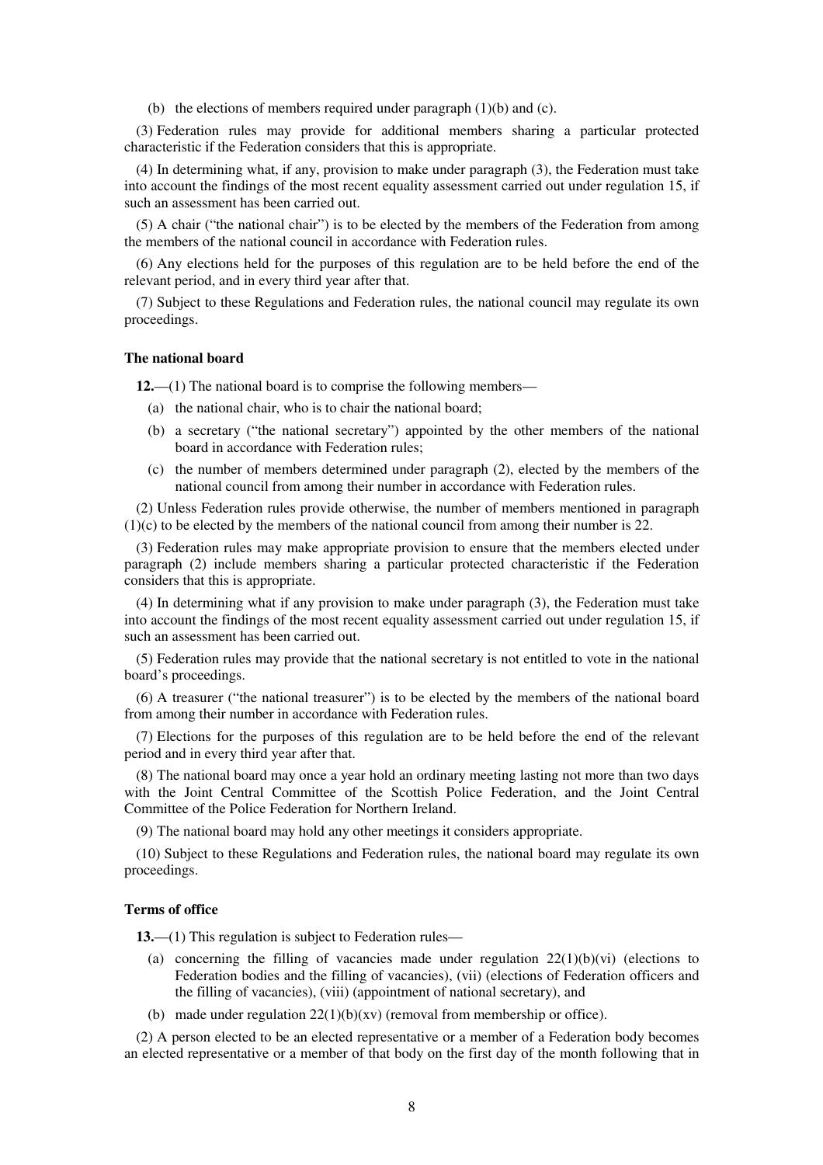(b) the elections of members required under paragraph  $(1)(b)$  and  $(c)$ .

(3) Federation rules may provide for additional members sharing a particular protected characteristic if the Federation considers that this is appropriate.

(4) In determining what, if any, provision to make under paragraph (3), the Federation must take into account the findings of the most recent equality assessment carried out under regulation 15, if such an assessment has been carried out.

(5) A chair ("the national chair") is to be elected by the members of the Federation from among the members of the national council in accordance with Federation rules.

(6) Any elections held for the purposes of this regulation are to be held before the end of the relevant period, and in every third year after that.

(7) Subject to these Regulations and Federation rules, the national council may regulate its own proceedings.

## **The national board**

**12.**—(1) The national board is to comprise the following members—

- (a) the national chair, who is to chair the national board;
- (b) a secretary ("the national secretary") appointed by the other members of the national board in accordance with Federation rules;
- (c) the number of members determined under paragraph (2), elected by the members of the national council from among their number in accordance with Federation rules.

(2) Unless Federation rules provide otherwise, the number of members mentioned in paragraph (1)(c) to be elected by the members of the national council from among their number is 22.

(3) Federation rules may make appropriate provision to ensure that the members elected under paragraph (2) include members sharing a particular protected characteristic if the Federation considers that this is appropriate.

(4) In determining what if any provision to make under paragraph (3), the Federation must take into account the findings of the most recent equality assessment carried out under regulation 15, if such an assessment has been carried out.

(5) Federation rules may provide that the national secretary is not entitled to vote in the national board's proceedings.

(6) A treasurer ("the national treasurer") is to be elected by the members of the national board from among their number in accordance with Federation rules.

(7) Elections for the purposes of this regulation are to be held before the end of the relevant period and in every third year after that.

(8) The national board may once a year hold an ordinary meeting lasting not more than two days with the Joint Central Committee of the Scottish Police Federation, and the Joint Central Committee of the Police Federation for Northern Ireland.

(9) The national board may hold any other meetings it considers appropriate.

(10) Subject to these Regulations and Federation rules, the national board may regulate its own proceedings.

#### **Terms of office**

**13.**—(1) This regulation is subject to Federation rules—

- (a) concerning the filling of vacancies made under regulation  $22(1)(b)(vi)$  (elections to Federation bodies and the filling of vacancies), (vii) (elections of Federation officers and the filling of vacancies), (viii) (appointment of national secretary), and
- (b) made under regulation  $22(1)(b)(xv)$  (removal from membership or office).

(2) A person elected to be an elected representative or a member of a Federation body becomes an elected representative or a member of that body on the first day of the month following that in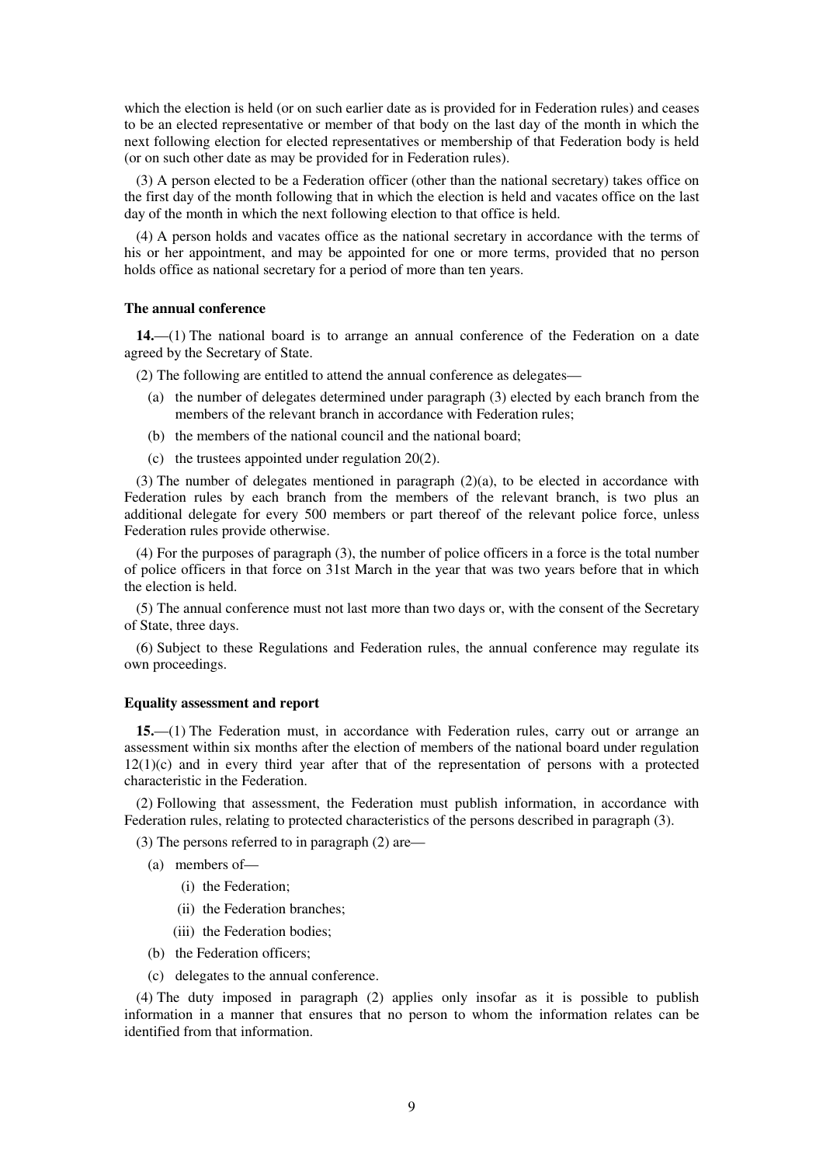which the election is held (or on such earlier date as is provided for in Federation rules) and ceases to be an elected representative or member of that body on the last day of the month in which the next following election for elected representatives or membership of that Federation body is held (or on such other date as may be provided for in Federation rules).

(3) A person elected to be a Federation officer (other than the national secretary) takes office on the first day of the month following that in which the election is held and vacates office on the last day of the month in which the next following election to that office is held.

(4) A person holds and vacates office as the national secretary in accordance with the terms of his or her appointment, and may be appointed for one or more terms, provided that no person holds office as national secretary for a period of more than ten years.

### **The annual conference**

**14.**—(1) The national board is to arrange an annual conference of the Federation on a date agreed by the Secretary of State.

(2) The following are entitled to attend the annual conference as delegates—

- (a) the number of delegates determined under paragraph (3) elected by each branch from the members of the relevant branch in accordance with Federation rules;
- (b) the members of the national council and the national board;
- (c) the trustees appointed under regulation 20(2).

(3) The number of delegates mentioned in paragraph  $(2)(a)$ , to be elected in accordance with Federation rules by each branch from the members of the relevant branch, is two plus an additional delegate for every 500 members or part thereof of the relevant police force, unless Federation rules provide otherwise.

(4) For the purposes of paragraph (3), the number of police officers in a force is the total number of police officers in that force on 31st March in the year that was two years before that in which the election is held.

(5) The annual conference must not last more than two days or, with the consent of the Secretary of State, three days.

(6) Subject to these Regulations and Federation rules, the annual conference may regulate its own proceedings.

### **Equality assessment and report**

**15.**—(1) The Federation must, in accordance with Federation rules, carry out or arrange an assessment within six months after the election of members of the national board under regulation  $12(1)(c)$  and in every third year after that of the representation of persons with a protected characteristic in the Federation.

(2) Following that assessment, the Federation must publish information, in accordance with Federation rules, relating to protected characteristics of the persons described in paragraph (3).

(3) The persons referred to in paragraph (2) are—

- (a) members of—
	- (i) the Federation;
	- (ii) the Federation branches;
	- (iii) the Federation bodies;
- (b) the Federation officers;
- (c) delegates to the annual conference.

(4) The duty imposed in paragraph (2) applies only insofar as it is possible to publish information in a manner that ensures that no person to whom the information relates can be identified from that information.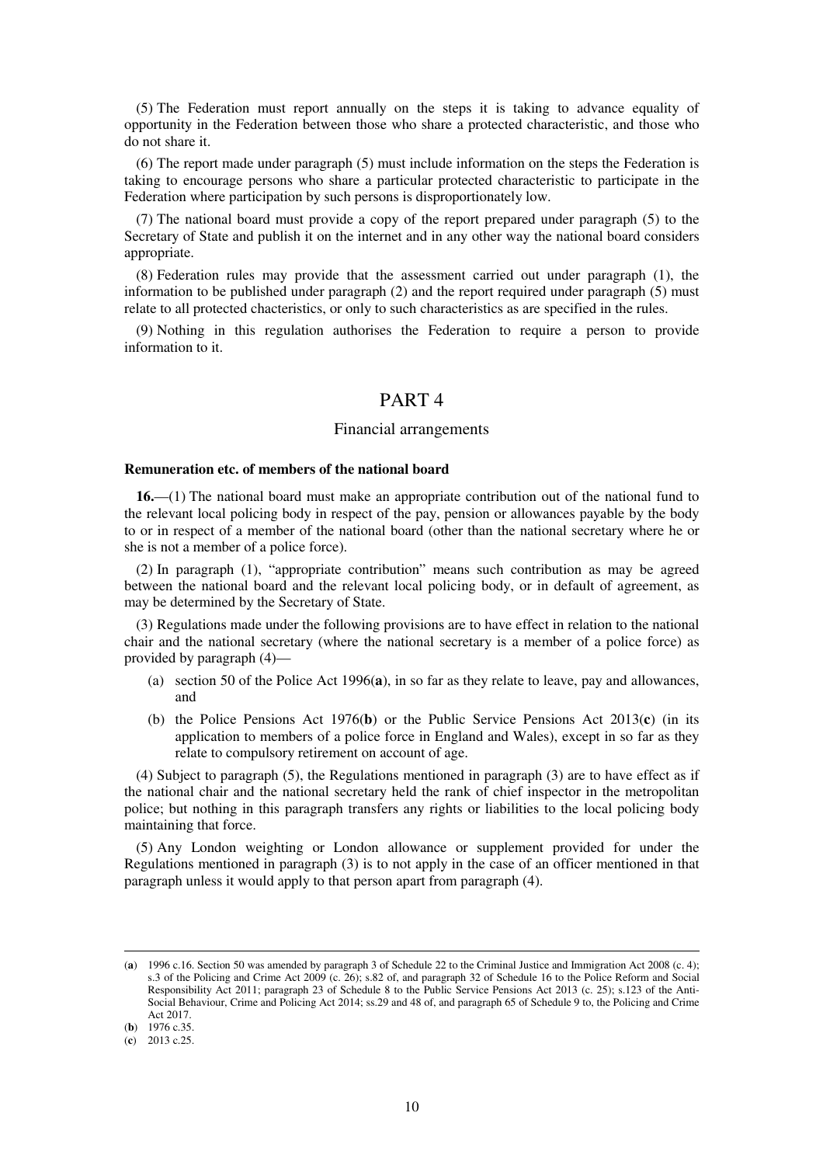(5) The Federation must report annually on the steps it is taking to advance equality of opportunity in the Federation between those who share a protected characteristic, and those who do not share it.

(6) The report made under paragraph (5) must include information on the steps the Federation is taking to encourage persons who share a particular protected characteristic to participate in the Federation where participation by such persons is disproportionately low.

(7) The national board must provide a copy of the report prepared under paragraph (5) to the Secretary of State and publish it on the internet and in any other way the national board considers appropriate.

(8) Federation rules may provide that the assessment carried out under paragraph (1), the information to be published under paragraph (2) and the report required under paragraph (5) must relate to all protected chacteristics, or only to such characteristics as are specified in the rules.

(9) Nothing in this regulation authorises the Federation to require a person to provide information to it.

## PART 4

#### Financial arrangements

#### **Remuneration etc. of members of the national board**

**16.**—(1) The national board must make an appropriate contribution out of the national fund to the relevant local policing body in respect of the pay, pension or allowances payable by the body to or in respect of a member of the national board (other than the national secretary where he or she is not a member of a police force).

(2) In paragraph (1), "appropriate contribution" means such contribution as may be agreed between the national board and the relevant local policing body, or in default of agreement, as may be determined by the Secretary of State.

(3) Regulations made under the following provisions are to have effect in relation to the national chair and the national secretary (where the national secretary is a member of a police force) as provided by paragraph (4)—

- (a) section 50 of the Police Act 1996(**a**), in so far as they relate to leave, pay and allowances, and
- (b) the Police Pensions Act 1976(**b**) or the Public Service Pensions Act 2013(**c**) (in its application to members of a police force in England and Wales), except in so far as they relate to compulsory retirement on account of age.

(4) Subject to paragraph (5), the Regulations mentioned in paragraph (3) are to have effect as if the national chair and the national secretary held the rank of chief inspector in the metropolitan police; but nothing in this paragraph transfers any rights or liabilities to the local policing body maintaining that force.

(5) Any London weighting or London allowance or supplement provided for under the Regulations mentioned in paragraph (3) is to not apply in the case of an officer mentioned in that paragraph unless it would apply to that person apart from paragraph (4).

<sup>(</sup>**a**) 1996 c.16. Section 50 was amended by paragraph 3 of Schedule 22 to the Criminal Justice and Immigration Act 2008 (c. 4); s.3 of the Policing and Crime Act 2009 (c. 26); s.82 of, and paragraph 32 of Schedule 16 to the Police Reform and Social Responsibility Act 2011; paragraph 23 of Schedule 8 to the Public Service Pensions Act 2013 (c. 25); s.123 of the Anti-Social Behaviour, Crime and Policing Act 2014; ss.29 and 48 of, and paragraph 65 of Schedule 9 to, the Policing and Crime Act 2017.

<sup>(</sup>**b**) 1976 c.35.

<sup>(</sup>**c**) 2013 c.25.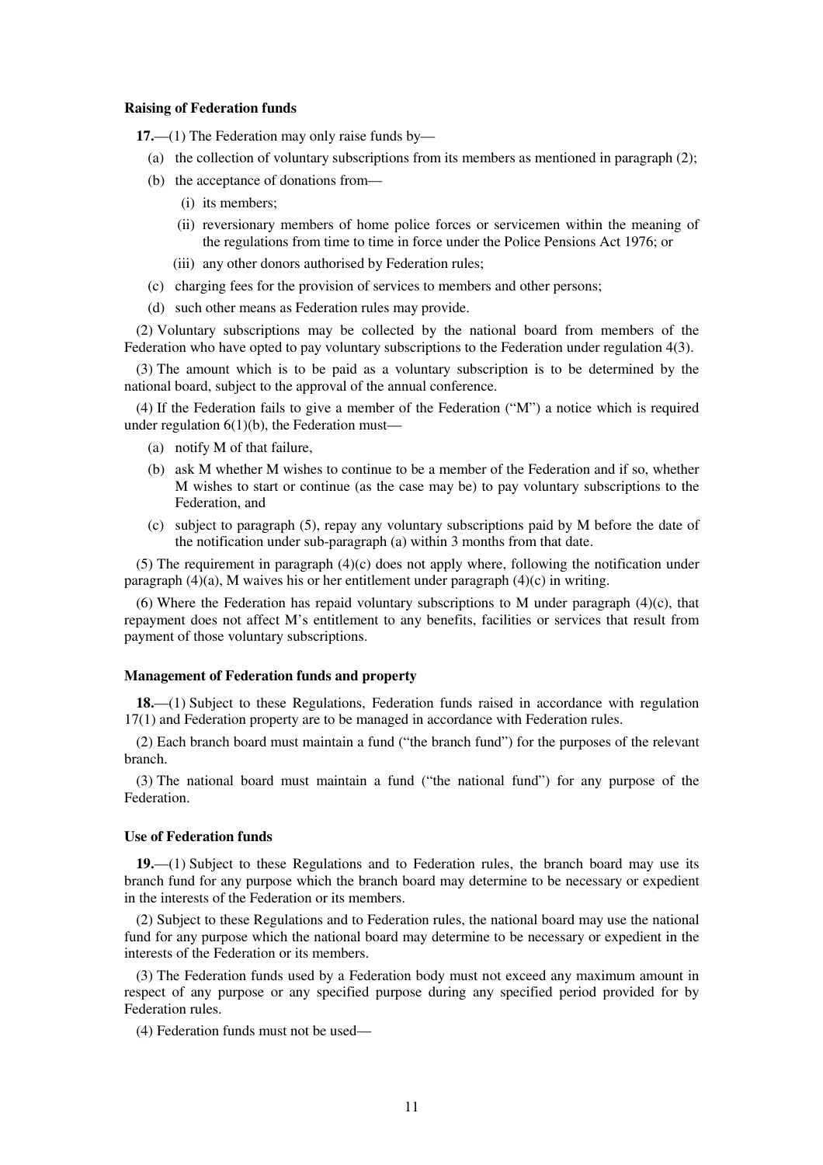#### **Raising of Federation funds**

**17.**—(1) The Federation may only raise funds by—

- (a) the collection of voluntary subscriptions from its members as mentioned in paragraph (2);
- (b) the acceptance of donations from—
	- (i) its members;
	- (ii) reversionary members of home police forces or servicemen within the meaning of the regulations from time to time in force under the Police Pensions Act 1976; or
	- (iii) any other donors authorised by Federation rules;
- (c) charging fees for the provision of services to members and other persons;
- (d) such other means as Federation rules may provide.

(2) Voluntary subscriptions may be collected by the national board from members of the Federation who have opted to pay voluntary subscriptions to the Federation under regulation 4(3).

(3) The amount which is to be paid as a voluntary subscription is to be determined by the national board, subject to the approval of the annual conference.

(4) If the Federation fails to give a member of the Federation ("M") a notice which is required under regulation  $6(1)(b)$ , the Federation must—

- (a) notify M of that failure,
- (b) ask M whether M wishes to continue to be a member of the Federation and if so, whether M wishes to start or continue (as the case may be) to pay voluntary subscriptions to the Federation, and
- (c) subject to paragraph (5), repay any voluntary subscriptions paid by M before the date of the notification under sub-paragraph (a) within 3 months from that date.

(5) The requirement in paragraph  $(4)(c)$  does not apply where, following the notification under paragraph  $(4)(a)$ , M waives his or her entitlement under paragraph  $(4)(c)$  in writing.

(6) Where the Federation has repaid voluntary subscriptions to M under paragraph  $(4)(c)$ , that repayment does not affect M's entitlement to any benefits, facilities or services that result from payment of those voluntary subscriptions.

### **Management of Federation funds and property**

**18.**—(1) Subject to these Regulations, Federation funds raised in accordance with regulation 17(1) and Federation property are to be managed in accordance with Federation rules.

(2) Each branch board must maintain a fund ("the branch fund") for the purposes of the relevant branch.

(3) The national board must maintain a fund ("the national fund") for any purpose of the Federation.

#### **Use of Federation funds**

**19.**—(1) Subject to these Regulations and to Federation rules, the branch board may use its branch fund for any purpose which the branch board may determine to be necessary or expedient in the interests of the Federation or its members.

(2) Subject to these Regulations and to Federation rules, the national board may use the national fund for any purpose which the national board may determine to be necessary or expedient in the interests of the Federation or its members.

(3) The Federation funds used by a Federation body must not exceed any maximum amount in respect of any purpose or any specified purpose during any specified period provided for by Federation rules.

(4) Federation funds must not be used—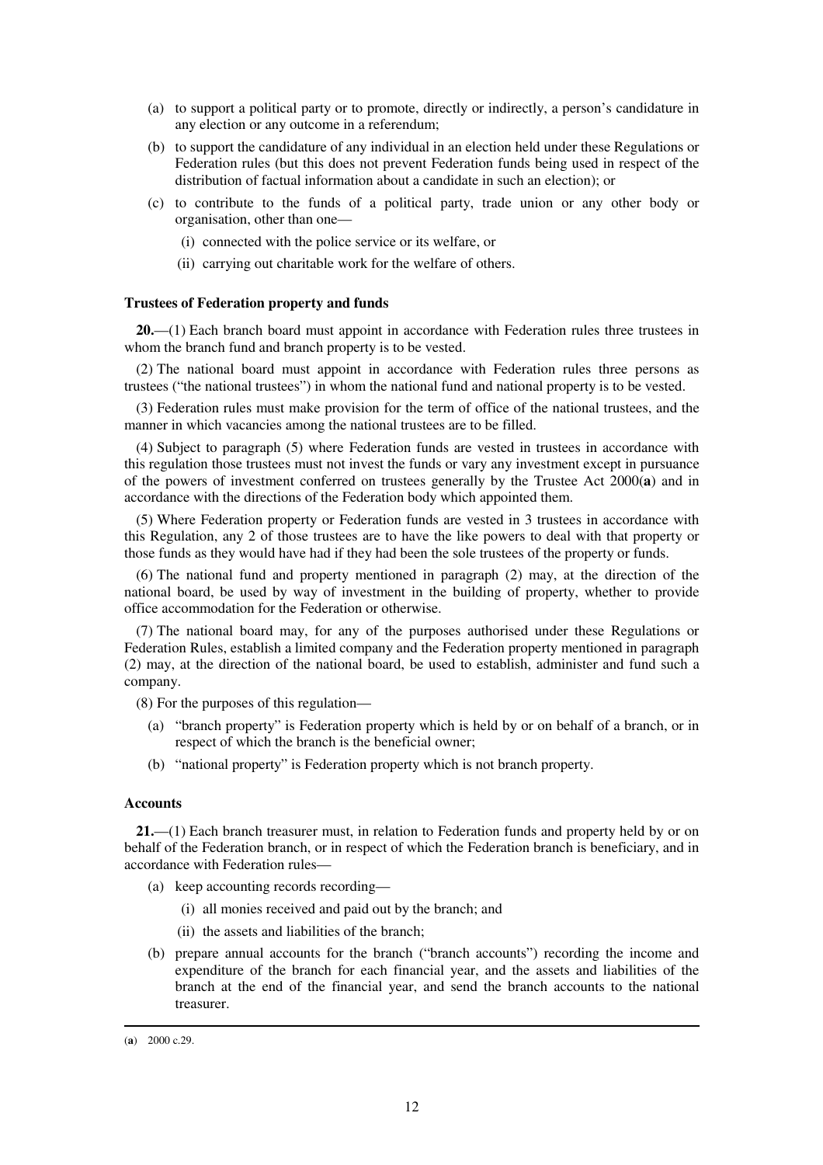- (a) to support a political party or to promote, directly or indirectly, a person's candidature in any election or any outcome in a referendum;
- (b) to support the candidature of any individual in an election held under these Regulations or Federation rules (but this does not prevent Federation funds being used in respect of the distribution of factual information about a candidate in such an election); or
- (c) to contribute to the funds of a political party, trade union or any other body or organisation, other than one—
	- (i) connected with the police service or its welfare, or
	- (ii) carrying out charitable work for the welfare of others.

### **Trustees of Federation property and funds**

**20.**—(1) Each branch board must appoint in accordance with Federation rules three trustees in whom the branch fund and branch property is to be vested.

(2) The national board must appoint in accordance with Federation rules three persons as trustees ("the national trustees") in whom the national fund and national property is to be vested.

(3) Federation rules must make provision for the term of office of the national trustees, and the manner in which vacancies among the national trustees are to be filled.

(4) Subject to paragraph (5) where Federation funds are vested in trustees in accordance with this regulation those trustees must not invest the funds or vary any investment except in pursuance of the powers of investment conferred on trustees generally by the Trustee Act 2000(**a**) and in accordance with the directions of the Federation body which appointed them.

(5) Where Federation property or Federation funds are vested in 3 trustees in accordance with this Regulation, any 2 of those trustees are to have the like powers to deal with that property or those funds as they would have had if they had been the sole trustees of the property or funds.

(6) The national fund and property mentioned in paragraph (2) may, at the direction of the national board, be used by way of investment in the building of property, whether to provide office accommodation for the Federation or otherwise.

(7) The national board may, for any of the purposes authorised under these Regulations or Federation Rules, establish a limited company and the Federation property mentioned in paragraph (2) may, at the direction of the national board, be used to establish, administer and fund such a company.

(8) For the purposes of this regulation—

- (a) "branch property" is Federation property which is held by or on behalf of a branch, or in respect of which the branch is the beneficial owner;
- (b) "national property" is Federation property which is not branch property.

#### **Accounts**

**21.**—(1) Each branch treasurer must, in relation to Federation funds and property held by or on behalf of the Federation branch, or in respect of which the Federation branch is beneficiary, and in accordance with Federation rules—

- (a) keep accounting records recording—
	- (i) all monies received and paid out by the branch; and
	- (ii) the assets and liabilities of the branch;
- (b) prepare annual accounts for the branch ("branch accounts") recording the income and expenditure of the branch for each financial year, and the assets and liabilities of the branch at the end of the financial year, and send the branch accounts to the national treasurer.

<sup>(</sup>**a**) 2000 c.29.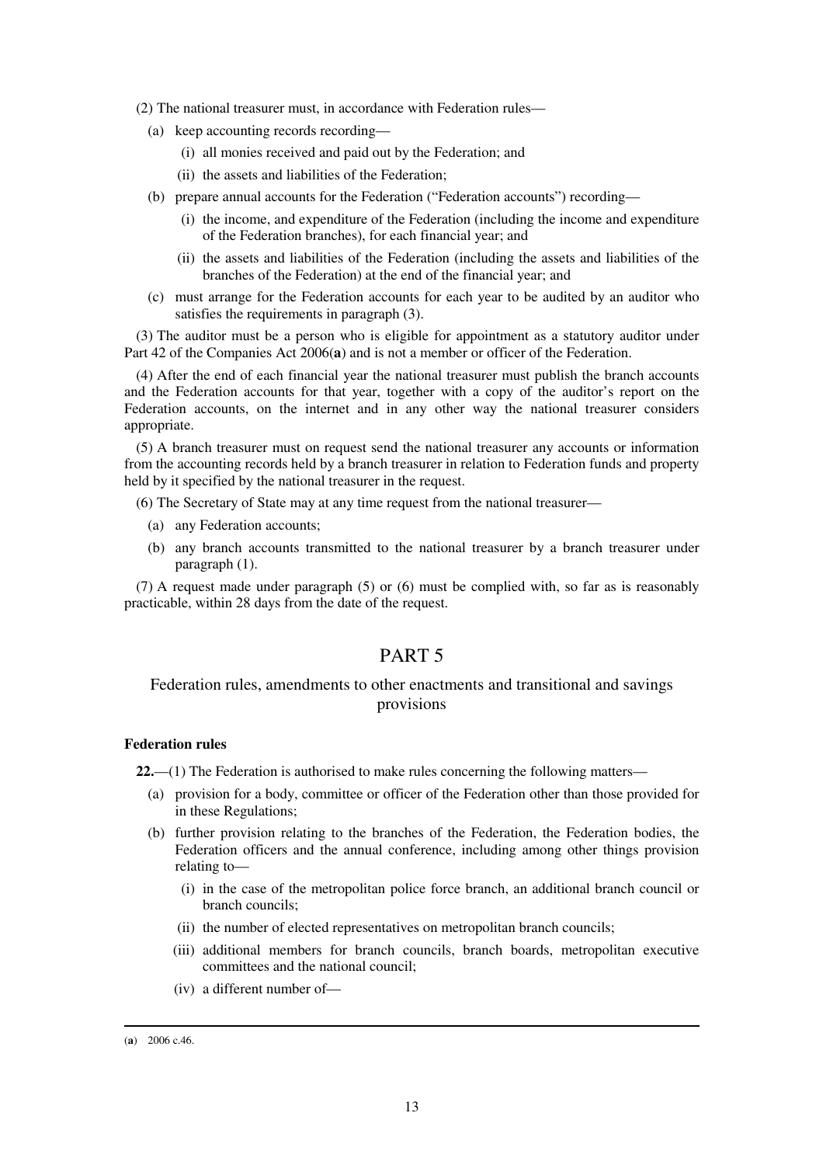- (2) The national treasurer must, in accordance with Federation rules—
	- (a) keep accounting records recording—
		- (i) all monies received and paid out by the Federation; and
		- (ii) the assets and liabilities of the Federation;
	- (b) prepare annual accounts for the Federation ("Federation accounts") recording—
		- (i) the income, and expenditure of the Federation (including the income and expenditure of the Federation branches), for each financial year; and
		- (ii) the assets and liabilities of the Federation (including the assets and liabilities of the branches of the Federation) at the end of the financial year; and
	- (c) must arrange for the Federation accounts for each year to be audited by an auditor who satisfies the requirements in paragraph (3).

(3) The auditor must be a person who is eligible for appointment as a statutory auditor under Part 42 of the Companies Act 2006(**a**) and is not a member or officer of the Federation.

(4) After the end of each financial year the national treasurer must publish the branch accounts and the Federation accounts for that year, together with a copy of the auditor's report on the Federation accounts, on the internet and in any other way the national treasurer considers appropriate.

(5) A branch treasurer must on request send the national treasurer any accounts or information from the accounting records held by a branch treasurer in relation to Federation funds and property held by it specified by the national treasurer in the request.

- (6) The Secretary of State may at any time request from the national treasurer—
	- (a) any Federation accounts;
	- (b) any branch accounts transmitted to the national treasurer by a branch treasurer under paragraph (1).

(7) A request made under paragraph (5) or (6) must be complied with, so far as is reasonably practicable, within 28 days from the date of the request.

## PART 5

## Federation rules, amendments to other enactments and transitional and savings provisions

### **Federation rules**

**22.**—(1) The Federation is authorised to make rules concerning the following matters—

- (a) provision for a body, committee or officer of the Federation other than those provided for in these Regulations;
- (b) further provision relating to the branches of the Federation, the Federation bodies, the Federation officers and the annual conference, including among other things provision relating to—
	- (i) in the case of the metropolitan police force branch, an additional branch council or branch councils;
	- (ii) the number of elected representatives on metropolitan branch councils;
	- (iii) additional members for branch councils, branch boards, metropolitan executive committees and the national council;
	- (iv) a different number of—

<sup>(</sup>**a**) 2006 c.46.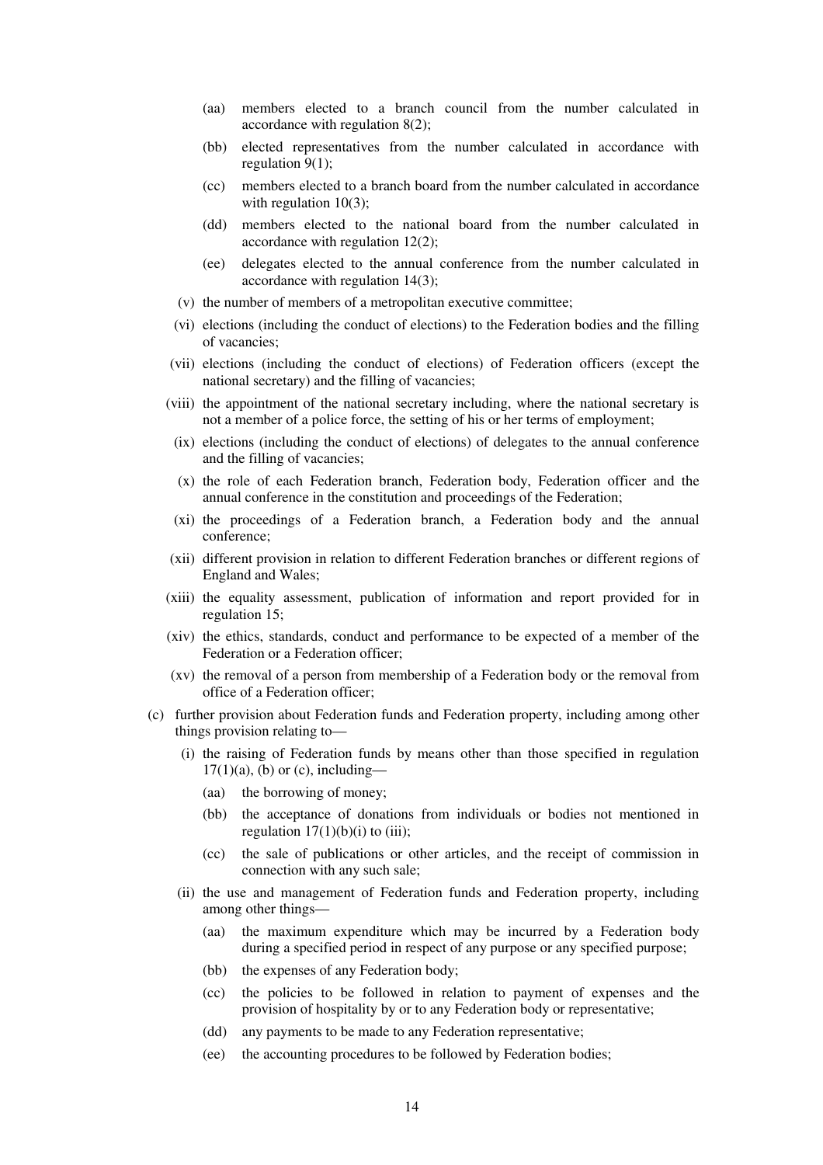- (aa) members elected to a branch council from the number calculated in accordance with regulation 8(2);
- (bb) elected representatives from the number calculated in accordance with regulation 9(1);
- (cc) members elected to a branch board from the number calculated in accordance with regulation 10(3);
- (dd) members elected to the national board from the number calculated in accordance with regulation 12(2);
- (ee) delegates elected to the annual conference from the number calculated in accordance with regulation 14(3);
- (v) the number of members of a metropolitan executive committee;
- (vi) elections (including the conduct of elections) to the Federation bodies and the filling of vacancies;
- (vii) elections (including the conduct of elections) of Federation officers (except the national secretary) and the filling of vacancies;
- (viii) the appointment of the national secretary including, where the national secretary is not a member of a police force, the setting of his or her terms of employment;
	- (ix) elections (including the conduct of elections) of delegates to the annual conference and the filling of vacancies;
	- (x) the role of each Federation branch, Federation body, Federation officer and the annual conference in the constitution and proceedings of the Federation;
- (xi) the proceedings of a Federation branch, a Federation body and the annual conference;
- (xii) different provision in relation to different Federation branches or different regions of England and Wales;
- (xiii) the equality assessment, publication of information and report provided for in regulation 15;
- (xiv) the ethics, standards, conduct and performance to be expected of a member of the Federation or a Federation officer;
- (xv) the removal of a person from membership of a Federation body or the removal from office of a Federation officer;
- (c) further provision about Federation funds and Federation property, including among other things provision relating to—
	- (i) the raising of Federation funds by means other than those specified in regulation  $17(1)(a)$ , (b) or (c), including—
		- (aa) the borrowing of money;
		- (bb) the acceptance of donations from individuals or bodies not mentioned in regulation  $17(1)(b)(i)$  to (iii);
		- (cc) the sale of publications or other articles, and the receipt of commission in connection with any such sale;
	- (ii) the use and management of Federation funds and Federation property, including among other things—
		- (aa) the maximum expenditure which may be incurred by a Federation body during a specified period in respect of any purpose or any specified purpose;
		- (bb) the expenses of any Federation body;
		- (cc) the policies to be followed in relation to payment of expenses and the provision of hospitality by or to any Federation body or representative;
		- (dd) any payments to be made to any Federation representative;
		- (ee) the accounting procedures to be followed by Federation bodies;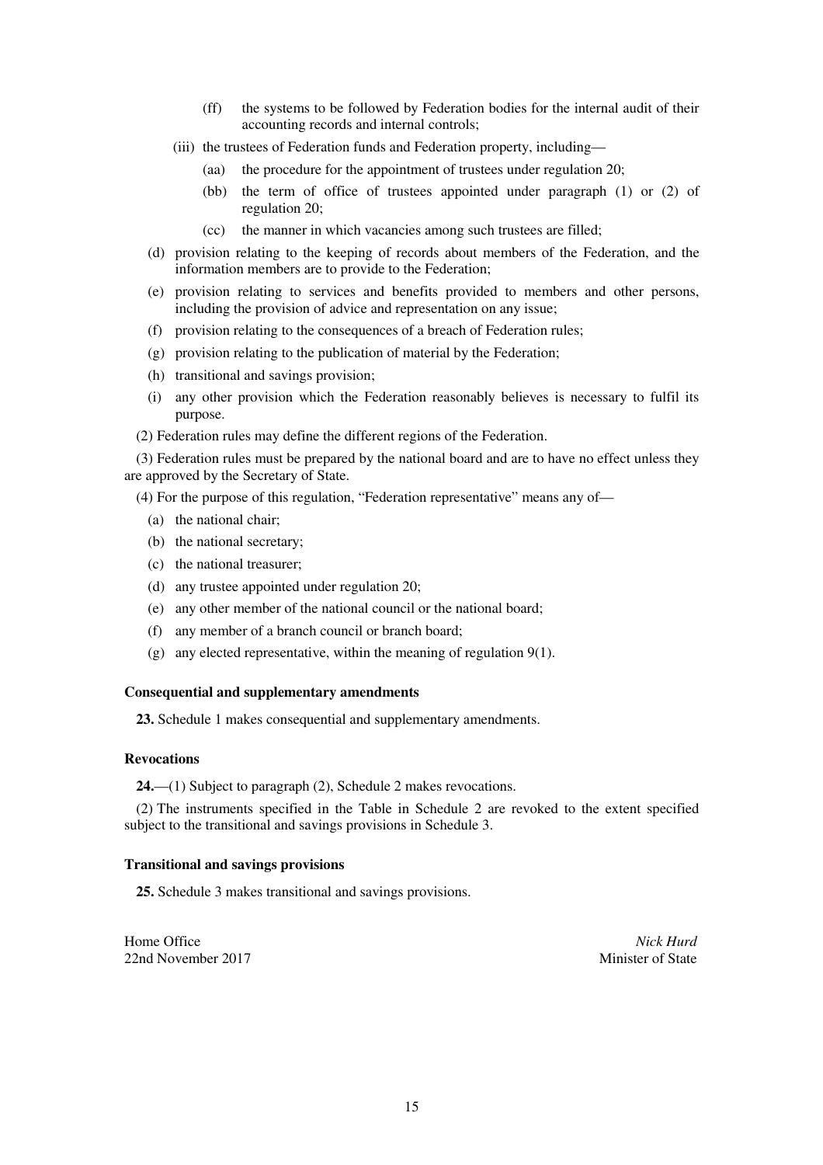- (ff) the systems to be followed by Federation bodies for the internal audit of their accounting records and internal controls;
- (iii) the trustees of Federation funds and Federation property, including—
	- (aa) the procedure for the appointment of trustees under regulation 20;
	- (bb) the term of office of trustees appointed under paragraph (1) or (2) of regulation 20;
	- (cc) the manner in which vacancies among such trustees are filled;
- (d) provision relating to the keeping of records about members of the Federation, and the information members are to provide to the Federation;
- (e) provision relating to services and benefits provided to members and other persons, including the provision of advice and representation on any issue;
- (f) provision relating to the consequences of a breach of Federation rules;
- (g) provision relating to the publication of material by the Federation;
- (h) transitional and savings provision;
- (i) any other provision which the Federation reasonably believes is necessary to fulfil its purpose.
- (2) Federation rules may define the different regions of the Federation.

(3) Federation rules must be prepared by the national board and are to have no effect unless they are approved by the Secretary of State.

(4) For the purpose of this regulation, "Federation representative" means any of—

- (a) the national chair;
- (b) the national secretary;
- (c) the national treasurer;
- (d) any trustee appointed under regulation 20;
- (e) any other member of the national council or the national board;
- (f) any member of a branch council or branch board;
- (g) any elected representative, within the meaning of regulation 9(1).

### **Consequential and supplementary amendments**

**23.** Schedule 1 makes consequential and supplementary amendments.

### **Revocations**

**24.**—(1) Subject to paragraph (2), Schedule 2 makes revocations.

(2) The instruments specified in the Table in Schedule 2 are revoked to the extent specified subject to the transitional and savings provisions in Schedule 3.

### **Transitional and savings provisions**

**25.** Schedule 3 makes transitional and savings provisions.

Home Office *Nick Hurd* 22nd November 2017 **Minister of State**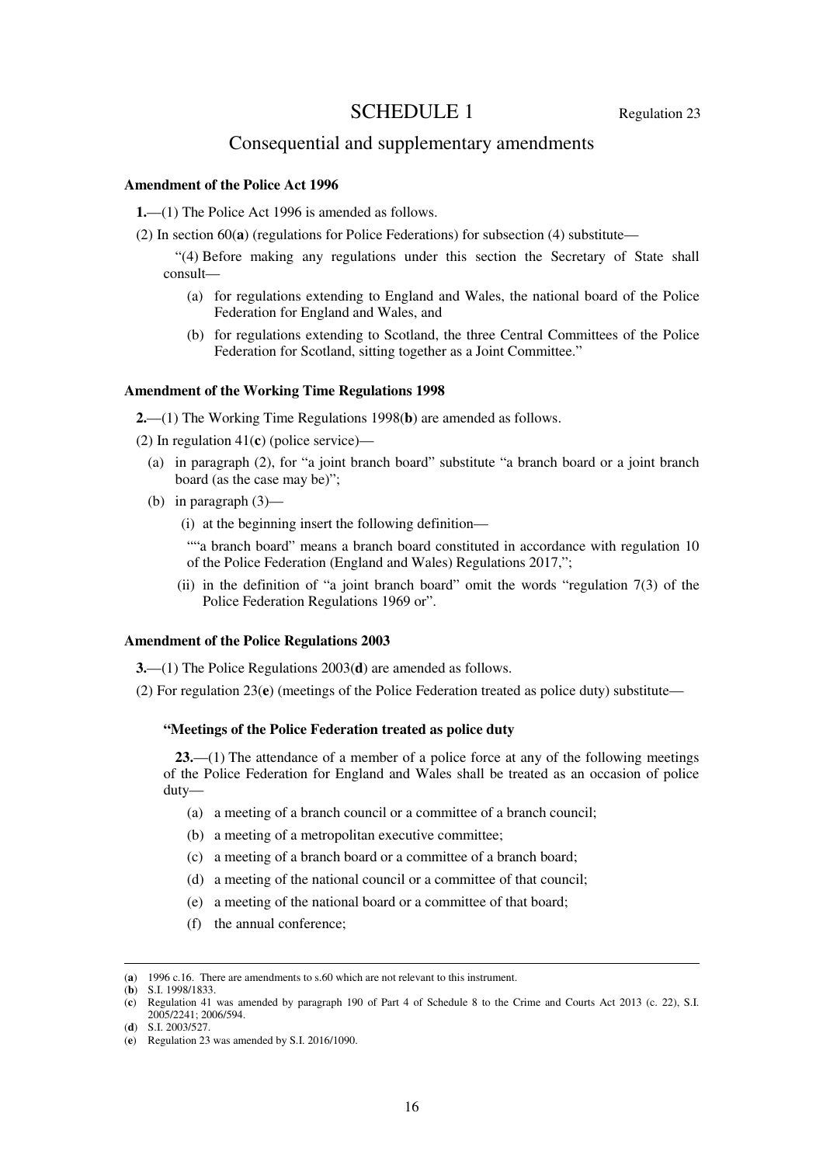# SCHEDULE 1 Regulation 23

## Consequential and supplementary amendments

### **Amendment of the Police Act 1996**

**1.**—(1) The Police Act 1996 is amended as follows.

(2) In section  $60(a)$  (regulations for Police Federations) for subsection (4) substitute—

"(4) Before making any regulations under this section the Secretary of State shall consult—

- (a) for regulations extending to England and Wales, the national board of the Police Federation for England and Wales, and
- (b) for regulations extending to Scotland, the three Central Committees of the Police Federation for Scotland, sitting together as a Joint Committee."

## **Amendment of the Working Time Regulations 1998**

**2.**—(1) The Working Time Regulations 1998(**b**) are amended as follows.

(2) In regulation 41(**c**) (police service)—

- (a) in paragraph (2), for "a joint branch board" substitute "a branch board or a joint branch board (as the case may be)";
- (b) in paragraph (3)—
	- (i) at the beginning insert the following definition—

""a branch board" means a branch board constituted in accordance with regulation 10 of the Police Federation (England and Wales) Regulations 2017,";

(ii) in the definition of "a joint branch board" omit the words "regulation 7(3) of the Police Federation Regulations 1969 or".

#### **Amendment of the Police Regulations 2003**

**3.**—(1) The Police Regulations 2003(**d**) are amended as follows.

(2) For regulation 23(**e**) (meetings of the Police Federation treated as police duty) substitute—

#### **"Meetings of the Police Federation treated as police duty**

**23.**—(1) The attendance of a member of a police force at any of the following meetings of the Police Federation for England and Wales shall be treated as an occasion of police duty—

- (a) a meeting of a branch council or a committee of a branch council;
- (b) a meeting of a metropolitan executive committee;
- (c) a meeting of a branch board or a committee of a branch board;
- (d) a meeting of the national council or a committee of that council;
- (e) a meeting of the national board or a committee of that board;
- (f) the annual conference;

<sup>(</sup>**a**) 1996 c.16. There are amendments to s.60 which are not relevant to this instrument.

<sup>(</sup>**b**) S.I. 1998/1833.

<sup>(</sup>**c**) Regulation 41 was amended by paragraph 190 of Part 4 of Schedule 8 to the Crime and Courts Act 2013 (c. 22), S.I. 2005/2241; 2006/594.

<sup>(</sup>**d**) S.I. 2003/527.

<sup>(</sup>**e**) Regulation 23 was amended by S.I. 2016/1090.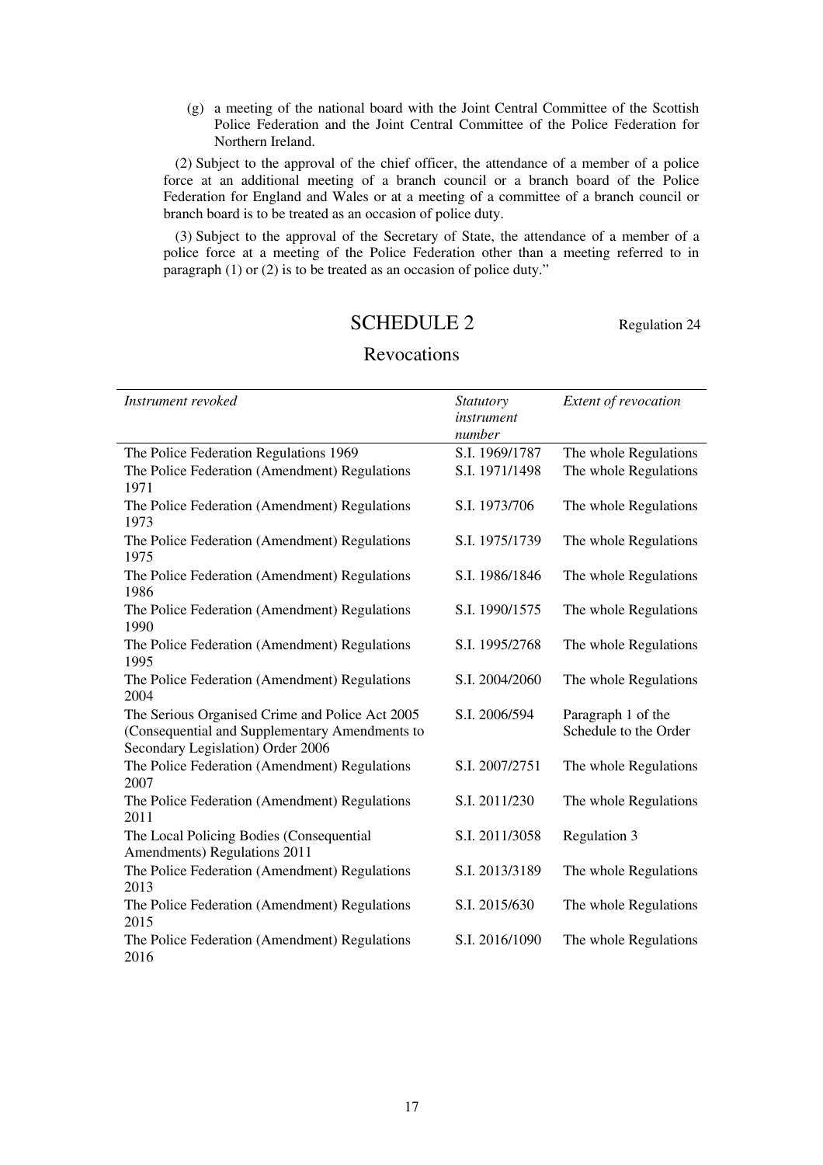(g) a meeting of the national board with the Joint Central Committee of the Scottish Police Federation and the Joint Central Committee of the Police Federation for Northern Ireland.

(2) Subject to the approval of the chief officer, the attendance of a member of a police force at an additional meeting of a branch council or a branch board of the Police Federation for England and Wales or at a meeting of a committee of a branch council or branch board is to be treated as an occasion of police duty.

(3) Subject to the approval of the Secretary of State, the attendance of a member of a police force at a meeting of the Police Federation other than a meeting referred to in paragraph (1) or (2) is to be treated as an occasion of police duty."

# SCHEDULE 2 Regulation 24

| Instrument revoked                                                                                                                     | <i>Statutory</i><br>instrument<br>number | Extent of revocation                        |
|----------------------------------------------------------------------------------------------------------------------------------------|------------------------------------------|---------------------------------------------|
| The Police Federation Regulations 1969                                                                                                 | S.I. 1969/1787                           | The whole Regulations                       |
| The Police Federation (Amendment) Regulations<br>1971                                                                                  | S.I. 1971/1498                           | The whole Regulations                       |
| The Police Federation (Amendment) Regulations<br>1973                                                                                  | S.I. 1973/706                            | The whole Regulations                       |
| The Police Federation (Amendment) Regulations<br>1975                                                                                  | S.I. 1975/1739                           | The whole Regulations                       |
| The Police Federation (Amendment) Regulations<br>1986                                                                                  | S.I. 1986/1846                           | The whole Regulations                       |
| The Police Federation (Amendment) Regulations<br>1990                                                                                  | S.I. 1990/1575                           | The whole Regulations                       |
| The Police Federation (Amendment) Regulations<br>1995                                                                                  | S.I. 1995/2768                           | The whole Regulations                       |
| The Police Federation (Amendment) Regulations<br>2004                                                                                  | S.I. 2004/2060                           | The whole Regulations                       |
| The Serious Organised Crime and Police Act 2005<br>(Consequential and Supplementary Amendments to<br>Secondary Legislation) Order 2006 | S.I. 2006/594                            | Paragraph 1 of the<br>Schedule to the Order |
| The Police Federation (Amendment) Regulations<br>2007                                                                                  | S.I. 2007/2751                           | The whole Regulations                       |
| The Police Federation (Amendment) Regulations<br>2011                                                                                  | S.I. 2011/230                            | The whole Regulations                       |
| The Local Policing Bodies (Consequential<br>Amendments) Regulations 2011                                                               | S.I. 2011/3058                           | Regulation 3                                |
| The Police Federation (Amendment) Regulations<br>2013                                                                                  | S.I. 2013/3189                           | The whole Regulations                       |
| The Police Federation (Amendment) Regulations<br>2015                                                                                  | S.I. 2015/630                            | The whole Regulations                       |
| The Police Federation (Amendment) Regulations<br>2016                                                                                  | S.I. 2016/1090                           | The whole Regulations                       |

# Revocations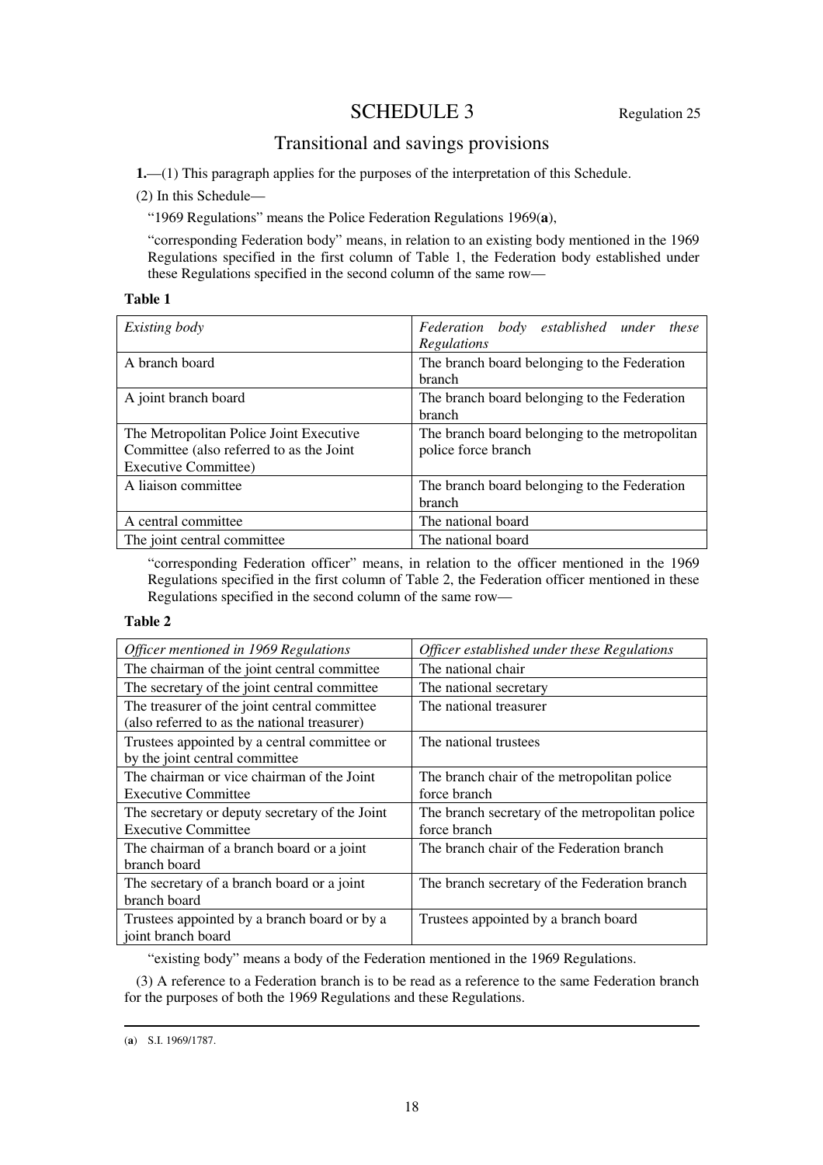# SCHEDULE 3 Regulation 25

# Transitional and savings provisions

**1.**—(1) This paragraph applies for the purposes of the interpretation of this Schedule.

(2) In this Schedule—

"1969 Regulations" means the Police Federation Regulations 1969(**a**),

"corresponding Federation body" means, in relation to an existing body mentioned in the 1969 Regulations specified in the first column of Table 1, the Federation body established under these Regulations specified in the second column of the same row—

## **Table 1**

| Existing body                                                                                                      | Federation body established under these<br>Regulations                |
|--------------------------------------------------------------------------------------------------------------------|-----------------------------------------------------------------------|
| A branch board                                                                                                     | The branch board belonging to the Federation<br>branch                |
| A joint branch board                                                                                               | The branch board belonging to the Federation<br>branch                |
| The Metropolitan Police Joint Executive<br>Committee (also referred to as the Joint<br><b>Executive Committee)</b> | The branch board belonging to the metropolitan<br>police force branch |
| A liaison committee                                                                                                | The branch board belonging to the Federation<br>branch                |
| A central committee                                                                                                | The national board                                                    |
| The joint central committee.                                                                                       | The national board                                                    |

"corresponding Federation officer" means, in relation to the officer mentioned in the 1969 Regulations specified in the first column of Table 2, the Federation officer mentioned in these Regulations specified in the second column of the same row—

## **Table 2**

| Officer mentioned in 1969 Regulations                                                        | Officer established under these Regulations                     |
|----------------------------------------------------------------------------------------------|-----------------------------------------------------------------|
| The chairman of the joint central committee                                                  | The national chair                                              |
| The secretary of the joint central committee                                                 | The national secretary                                          |
| The treasurer of the joint central committee<br>(also referred to as the national treasurer) | The national treasurer                                          |
| Trustees appointed by a central committee or<br>by the joint central committee               | The national trustees                                           |
| The chairman or vice chairman of the Joint<br><b>Executive Committee</b>                     | The branch chair of the metropolitan police<br>force branch     |
| The secretary or deputy secretary of the Joint<br><b>Executive Committee</b>                 | The branch secretary of the metropolitan police<br>force branch |
| The chairman of a branch board or a joint<br>branch board                                    | The branch chair of the Federation branch                       |
| The secretary of a branch board or a joint<br>branch board                                   | The branch secretary of the Federation branch                   |
| Trustees appointed by a branch board or by a<br>joint branch board                           | Trustees appointed by a branch board                            |

"existing body" means a body of the Federation mentioned in the 1969 Regulations.

(3) A reference to a Federation branch is to be read as a reference to the same Federation branch for the purposes of both the 1969 Regulations and these Regulations.

<sup>-</sup>(**a**) S.I. 1969/1787.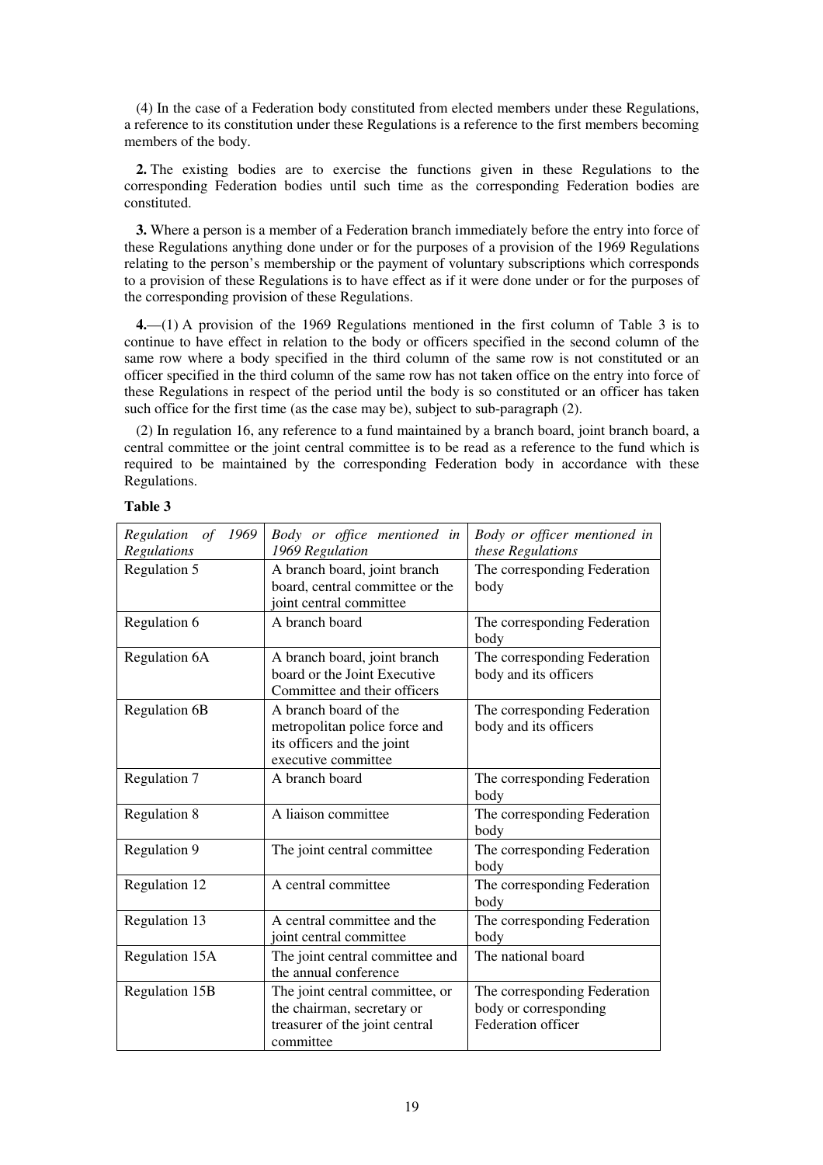(4) In the case of a Federation body constituted from elected members under these Regulations, a reference to its constitution under these Regulations is a reference to the first members becoming members of the body.

**2.** The existing bodies are to exercise the functions given in these Regulations to the corresponding Federation bodies until such time as the corresponding Federation bodies are constituted.

**3.** Where a person is a member of a Federation branch immediately before the entry into force of these Regulations anything done under or for the purposes of a provision of the 1969 Regulations relating to the person's membership or the payment of voluntary subscriptions which corresponds to a provision of these Regulations is to have effect as if it were done under or for the purposes of the corresponding provision of these Regulations.

**4.**—(1) A provision of the 1969 Regulations mentioned in the first column of Table 3 is to continue to have effect in relation to the body or officers specified in the second column of the same row where a body specified in the third column of the same row is not constituted or an officer specified in the third column of the same row has not taken office on the entry into force of these Regulations in respect of the period until the body is so constituted or an officer has taken such office for the first time (as the case may be), subject to sub-paragraph (2).

(2) In regulation 16, any reference to a fund maintained by a branch board, joint branch board, a central committee or the joint central committee is to be read as a reference to the fund which is required to be maintained by the corresponding Federation body in accordance with these Regulations.

| able |  |
|------|--|
|------|--|

| Regulation<br>of<br>1969<br>Regulations | Body or office mentioned in<br>1969 Regulation                                                               | Body or officer mentioned in<br>these Regulations                           |
|-----------------------------------------|--------------------------------------------------------------------------------------------------------------|-----------------------------------------------------------------------------|
| Regulation 5                            | A branch board, joint branch<br>board, central committee or the<br>joint central committee                   | The corresponding Federation<br>body                                        |
| Regulation 6                            | A branch board                                                                                               | The corresponding Federation<br>body                                        |
| <b>Regulation 6A</b>                    | A branch board, joint branch<br>board or the Joint Executive<br>Committee and their officers                 | The corresponding Federation<br>body and its officers                       |
| <b>Regulation 6B</b>                    | A branch board of the<br>metropolitan police force and<br>its officers and the joint<br>executive committee  | The corresponding Federation<br>body and its officers                       |
| Regulation 7                            | A branch board                                                                                               | The corresponding Federation<br>body                                        |
| <b>Regulation 8</b>                     | A liaison committee                                                                                          | The corresponding Federation<br>body                                        |
| Regulation 9                            | The joint central committee                                                                                  | The corresponding Federation<br>body                                        |
| Regulation 12                           | A central committee                                                                                          | The corresponding Federation<br>body                                        |
| Regulation 13                           | A central committee and the<br>joint central committee                                                       | The corresponding Federation<br>body                                        |
| Regulation 15A                          | The joint central committee and<br>the annual conference                                                     | The national board                                                          |
| Regulation 15B                          | The joint central committee, or<br>the chairman, secretary or<br>treasurer of the joint central<br>committee | The corresponding Federation<br>body or corresponding<br>Federation officer |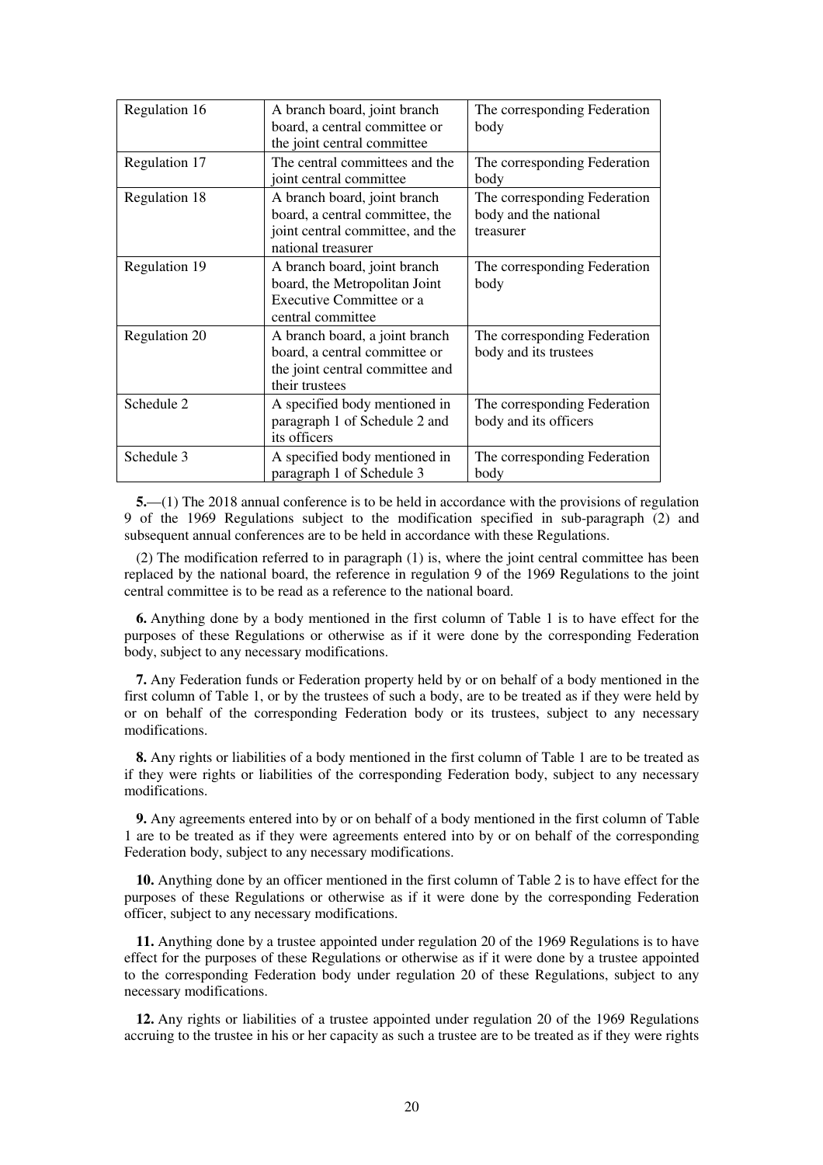| Regulation 16 | A branch board, joint branch<br>board, a central committee or<br>the joint central committee                              | The corresponding Federation<br>body                               |
|---------------|---------------------------------------------------------------------------------------------------------------------------|--------------------------------------------------------------------|
| Regulation 17 | The central committees and the<br>joint central committee                                                                 | The corresponding Federation<br>body                               |
| Regulation 18 | A branch board, joint branch<br>board, a central committee, the<br>joint central committee, and the<br>national treasurer | The corresponding Federation<br>body and the national<br>treasurer |
| Regulation 19 | A branch board, joint branch<br>board, the Metropolitan Joint<br>Executive Committee or a<br>central committee            | The corresponding Federation<br>body                               |
| Regulation 20 | A branch board, a joint branch<br>board, a central committee or<br>the joint central committee and<br>their trustees      | The corresponding Federation<br>body and its trustees              |
| Schedule 2    | A specified body mentioned in<br>paragraph 1 of Schedule 2 and<br>its officers                                            | The corresponding Federation<br>body and its officers              |
| Schedule 3    | A specified body mentioned in<br>paragraph 1 of Schedule 3                                                                | The corresponding Federation<br>body                               |

**5.**—(1) The 2018 annual conference is to be held in accordance with the provisions of regulation 9 of the 1969 Regulations subject to the modification specified in sub-paragraph (2) and subsequent annual conferences are to be held in accordance with these Regulations.

(2) The modification referred to in paragraph (1) is, where the joint central committee has been replaced by the national board, the reference in regulation 9 of the 1969 Regulations to the joint central committee is to be read as a reference to the national board.

**6.** Anything done by a body mentioned in the first column of Table 1 is to have effect for the purposes of these Regulations or otherwise as if it were done by the corresponding Federation body, subject to any necessary modifications.

**7.** Any Federation funds or Federation property held by or on behalf of a body mentioned in the first column of Table 1, or by the trustees of such a body, are to be treated as if they were held by or on behalf of the corresponding Federation body or its trustees, subject to any necessary modifications.

**8.** Any rights or liabilities of a body mentioned in the first column of Table 1 are to be treated as if they were rights or liabilities of the corresponding Federation body, subject to any necessary modifications.

**9.** Any agreements entered into by or on behalf of a body mentioned in the first column of Table 1 are to be treated as if they were agreements entered into by or on behalf of the corresponding Federation body, subject to any necessary modifications.

**10.** Anything done by an officer mentioned in the first column of Table 2 is to have effect for the purposes of these Regulations or otherwise as if it were done by the corresponding Federation officer, subject to any necessary modifications.

**11.** Anything done by a trustee appointed under regulation 20 of the 1969 Regulations is to have effect for the purposes of these Regulations or otherwise as if it were done by a trustee appointed to the corresponding Federation body under regulation 20 of these Regulations, subject to any necessary modifications.

**12.** Any rights or liabilities of a trustee appointed under regulation 20 of the 1969 Regulations accruing to the trustee in his or her capacity as such a trustee are to be treated as if they were rights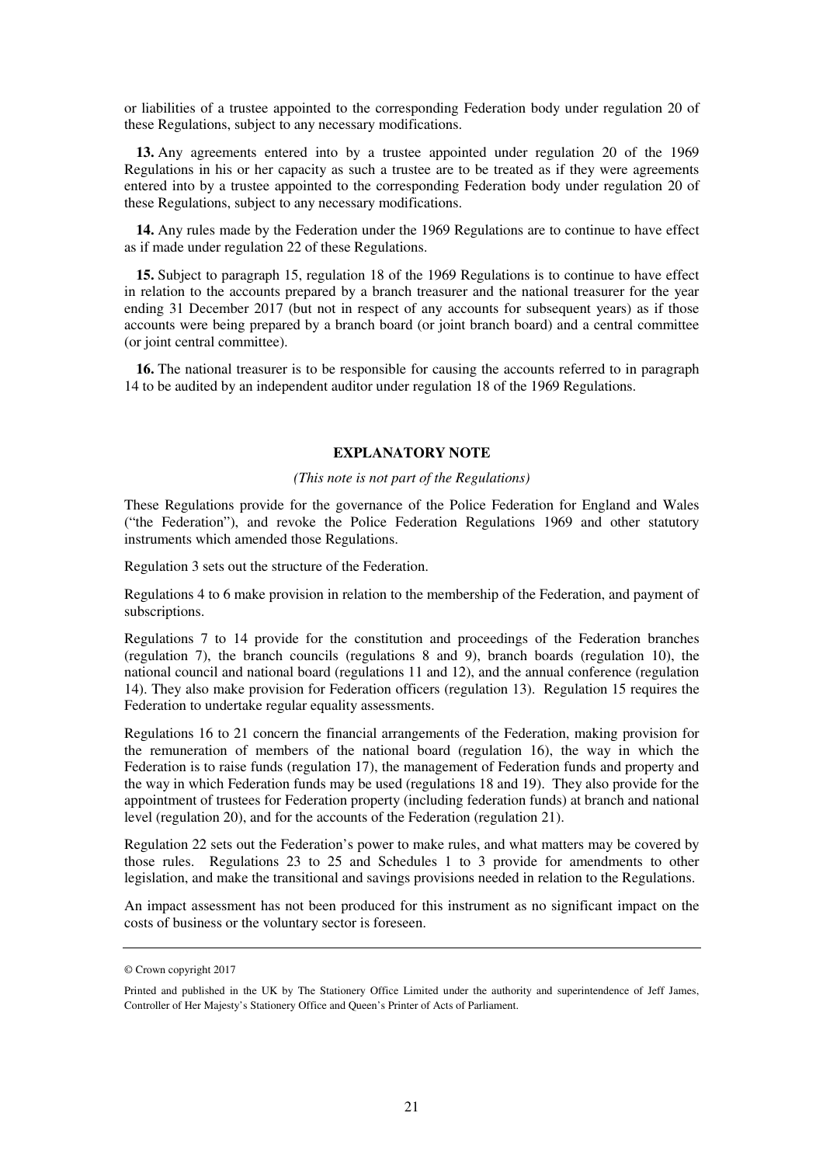or liabilities of a trustee appointed to the corresponding Federation body under regulation 20 of these Regulations, subject to any necessary modifications.

**13.** Any agreements entered into by a trustee appointed under regulation 20 of the 1969 Regulations in his or her capacity as such a trustee are to be treated as if they were agreements entered into by a trustee appointed to the corresponding Federation body under regulation 20 of these Regulations, subject to any necessary modifications.

**14.** Any rules made by the Federation under the 1969 Regulations are to continue to have effect as if made under regulation 22 of these Regulations.

**15.** Subject to paragraph 15, regulation 18 of the 1969 Regulations is to continue to have effect in relation to the accounts prepared by a branch treasurer and the national treasurer for the year ending 31 December 2017 (but not in respect of any accounts for subsequent years) as if those accounts were being prepared by a branch board (or joint branch board) and a central committee (or joint central committee).

**16.** The national treasurer is to be responsible for causing the accounts referred to in paragraph 14 to be audited by an independent auditor under regulation 18 of the 1969 Regulations.

## **EXPLANATORY NOTE**

#### *(This note is not part of the Regulations)*

These Regulations provide for the governance of the Police Federation for England and Wales ("the Federation"), and revoke the Police Federation Regulations 1969 and other statutory instruments which amended those Regulations.

Regulation 3 sets out the structure of the Federation.

Regulations 4 to 6 make provision in relation to the membership of the Federation, and payment of subscriptions.

Regulations 7 to 14 provide for the constitution and proceedings of the Federation branches (regulation 7), the branch councils (regulations 8 and 9), branch boards (regulation 10), the national council and national board (regulations 11 and 12), and the annual conference (regulation 14). They also make provision for Federation officers (regulation 13). Regulation 15 requires the Federation to undertake regular equality assessments.

Regulations 16 to 21 concern the financial arrangements of the Federation, making provision for the remuneration of members of the national board (regulation 16), the way in which the Federation is to raise funds (regulation 17), the management of Federation funds and property and the way in which Federation funds may be used (regulations 18 and 19). They also provide for the appointment of trustees for Federation property (including federation funds) at branch and national level (regulation 20), and for the accounts of the Federation (regulation 21).

Regulation 22 sets out the Federation's power to make rules, and what matters may be covered by those rules. Regulations 23 to 25 and Schedules 1 to 3 provide for amendments to other legislation, and make the transitional and savings provisions needed in relation to the Regulations.

An impact assessment has not been produced for this instrument as no significant impact on the costs of business or the voluntary sector is foreseen.

<sup>©</sup> Crown copyright 2017

Printed and published in the UK by The Stationery Office Limited under the authority and superintendence of Jeff James, Controller of Her Majesty's Stationery Office and Queen's Printer of Acts of Parliament.